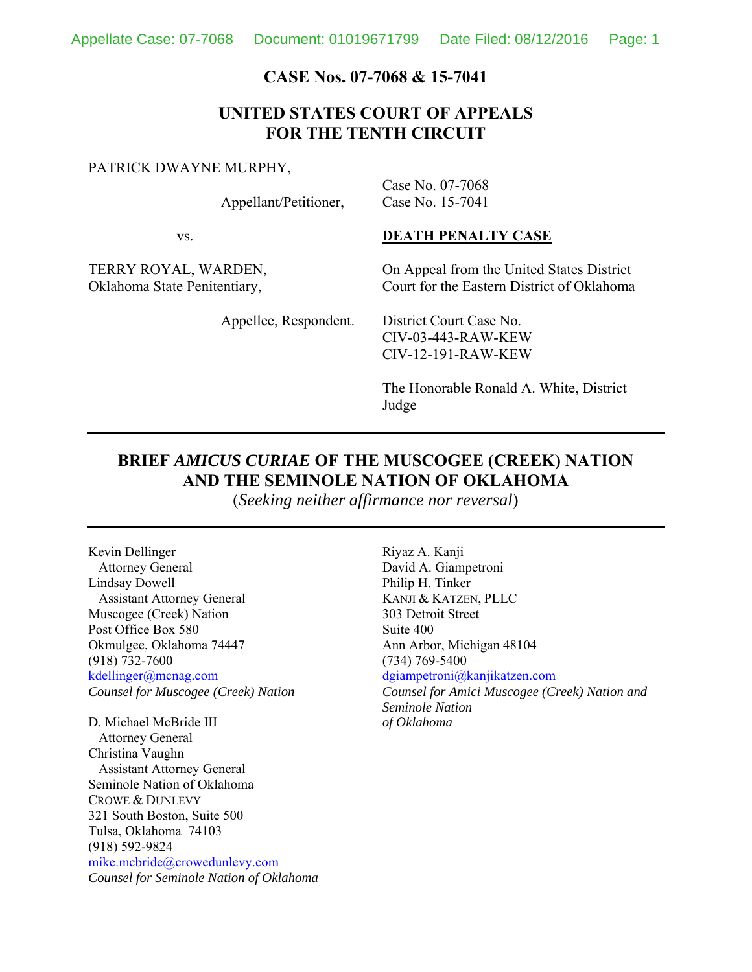#### **CASE Nos. 07-7068 & 15-7041**

### **UNITED STATES COURT OF APPEALS FOR THE TENTH CIRCUIT**

#### PATRICK DWAYNE MURPHY,

Appellant/Petitioner,

Case No. 07-7068 Case No. 15-7041

vs.

### **DEATH PENALTY CASE**

TERRY ROYAL, WARDEN, Oklahoma State Penitentiary,

On Appeal from the United States District Court for the Eastern District of Oklahoma

Appellee, Respondent.

District Court Case No. CIV-03-443-RAW-KEW CIV-12-191-RAW-KEW

The Honorable Ronald A. White, District Judge

#### **BRIEF** *AMICUS CURIAE* **OF THE MUSCOGEE (CREEK) NATION AND THE SEMINOLE NATION OF OKLAHOMA**

(*Seeking neither affirmance nor reversal*)

Kevin Dellinger Attorney General Lindsay Dowell Assistant Attorney General Muscogee (Creek) Nation Post Office Box 580 Okmulgee, Oklahoma 74447 (918) 732-7600 kdellinger@mcnag.com *Counsel for Muscogee (Creek) Nation*

D. Michael McBride III Attorney General Christina Vaughn Assistant Attorney General Seminole Nation of Oklahoma CROWE & DUNLEVY 321 South Boston, Suite 500 Tulsa, Oklahoma 74103 (918) 592-9824 mike.mcbride@crowedunlevy.com *Counsel for Seminole Nation of Oklahoma* Riyaz A. Kanji David A. Giampetroni Philip H. Tinker KANJI & KATZEN, PLLC 303 Detroit Street Suite 400 Ann Arbor, Michigan 48104 (734) 769-5400 dgiampetroni@kanjikatzen.com *Counsel for Amici Muscogee (Creek) Nation and Seminole Nation of Oklahoma*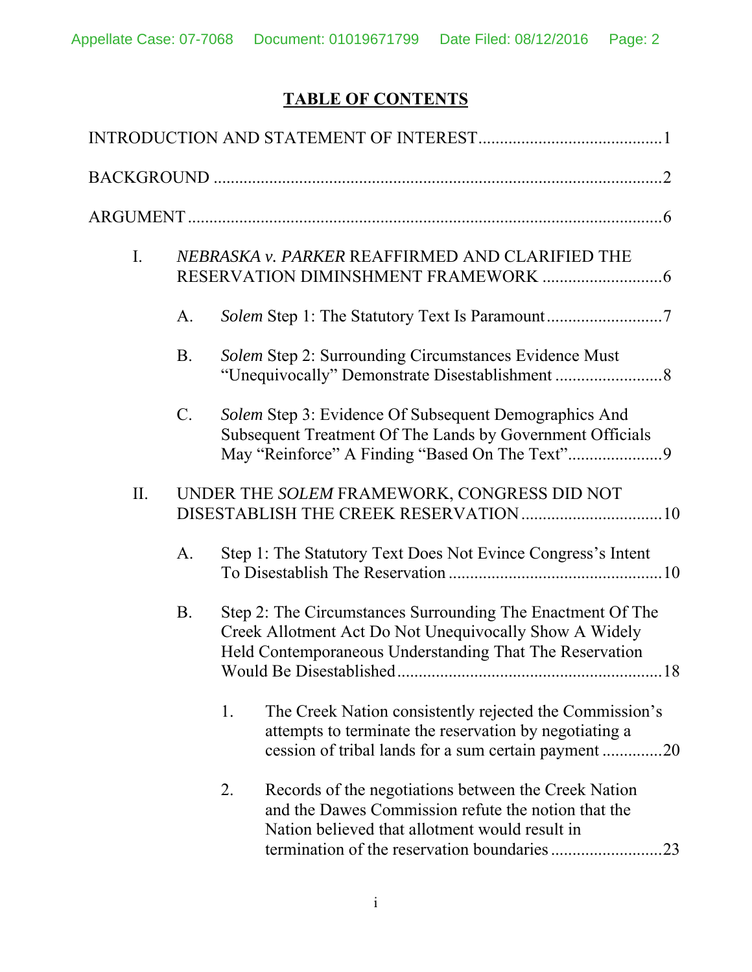# **TABLE OF CONTENTS**

| $\mathbf{I}$ . |                 | NEBRASKA v. PARKER REAFFIRMED AND CLARIFIED THE                                                                                                                                     |
|----------------|-----------------|-------------------------------------------------------------------------------------------------------------------------------------------------------------------------------------|
|                | A.              |                                                                                                                                                                                     |
|                | <b>B.</b>       | Solem Step 2: Surrounding Circumstances Evidence Must                                                                                                                               |
|                | $\mathcal{C}$ . | Solem Step 3: Evidence Of Subsequent Demographics And<br>Subsequent Treatment Of The Lands by Government Officials                                                                  |
| II.            |                 | UNDER THE SOLEM FRAMEWORK, CONGRESS DID NOT                                                                                                                                         |
|                | A.              | Step 1: The Statutory Text Does Not Evince Congress's Intent                                                                                                                        |
|                | <b>B.</b>       | Step 2: The Circumstances Surrounding The Enactment Of The<br>Creek Allotment Act Do Not Unequivocally Show A Widely<br>Held Contemporaneous Understanding That The Reservation     |
|                |                 | The Creek Nation consistently rejected the Commission's<br>1.<br>attempts to terminate the reservation by negotiating a<br>cession of tribal lands for a sum certain payment<br>.20 |
|                |                 | Records of the negotiations between the Creek Nation<br>2.<br>and the Dawes Commission refute the notion that the<br>Nation believed that allotment would result in<br>23           |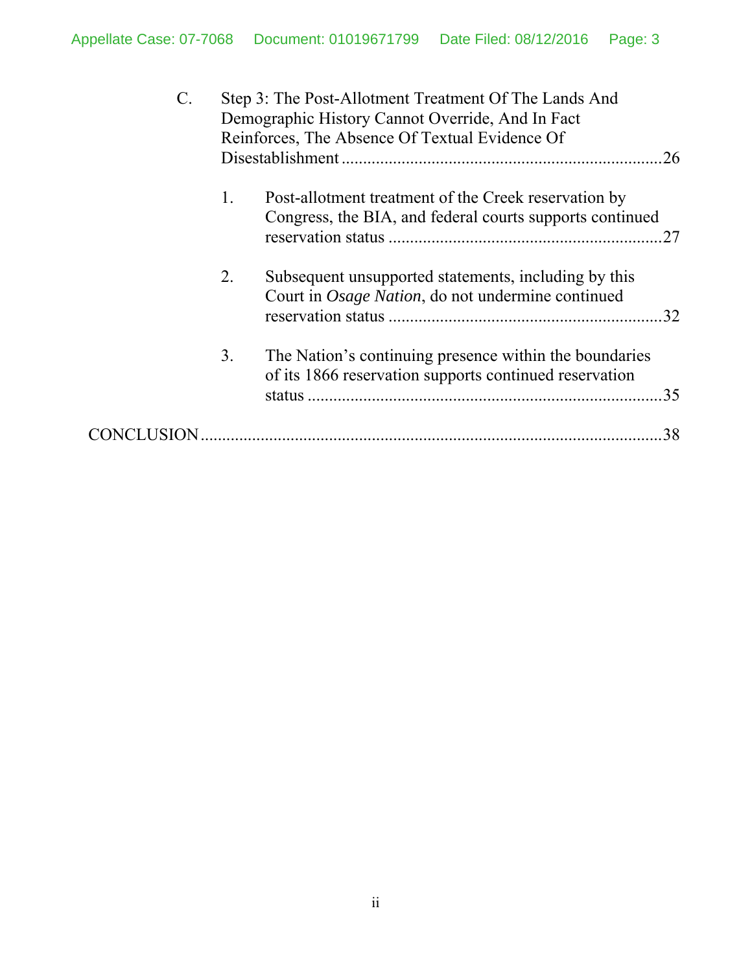| $\mathbf{C}$ . |    | Step 3: The Post-Allotment Treatment Of The Lands And<br>Demographic History Cannot Override, And In Fact<br>Reinforces, The Absence Of Textual Evidence Of<br>.26 |
|----------------|----|--------------------------------------------------------------------------------------------------------------------------------------------------------------------|
|                | 1. | Post-allotment treatment of the Creek reservation by<br>Congress, the BIA, and federal courts supports continued                                                   |
|                | 2. | Subsequent unsupported statements, including by this<br>Court in Osage Nation, do not undermine continued<br>.32                                                   |
|                | 3. | The Nation's continuing presence within the boundaries<br>of its 1866 reservation supports continued reservation<br>.35                                            |
|                |    | 38                                                                                                                                                                 |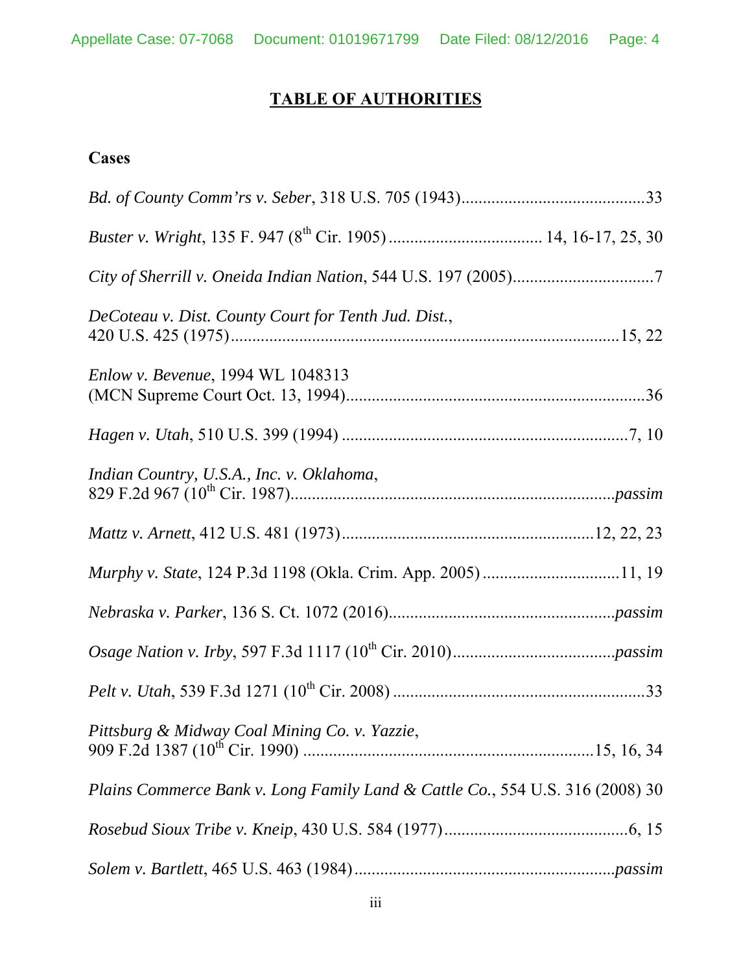# **TABLE OF AUTHORITIES**

# **Cases**

| DeCoteau v. Dist. County Court for Tenth Jud. Dist.,                          |
|-------------------------------------------------------------------------------|
| <i>Enlow v. Bevenue</i> , 1994 WL 1048313                                     |
|                                                                               |
| Indian Country, U.S.A., Inc. v. Oklahoma,                                     |
|                                                                               |
| Murphy v. State, 124 P.3d 1198 (Okla. Crim. App. 2005)11, 19                  |
|                                                                               |
|                                                                               |
|                                                                               |
| Pittsburg & Midway Coal Mining Co. v. Yazzie,                                 |
| Plains Commerce Bank v. Long Family Land & Cattle Co., 554 U.S. 316 (2008) 30 |
|                                                                               |
|                                                                               |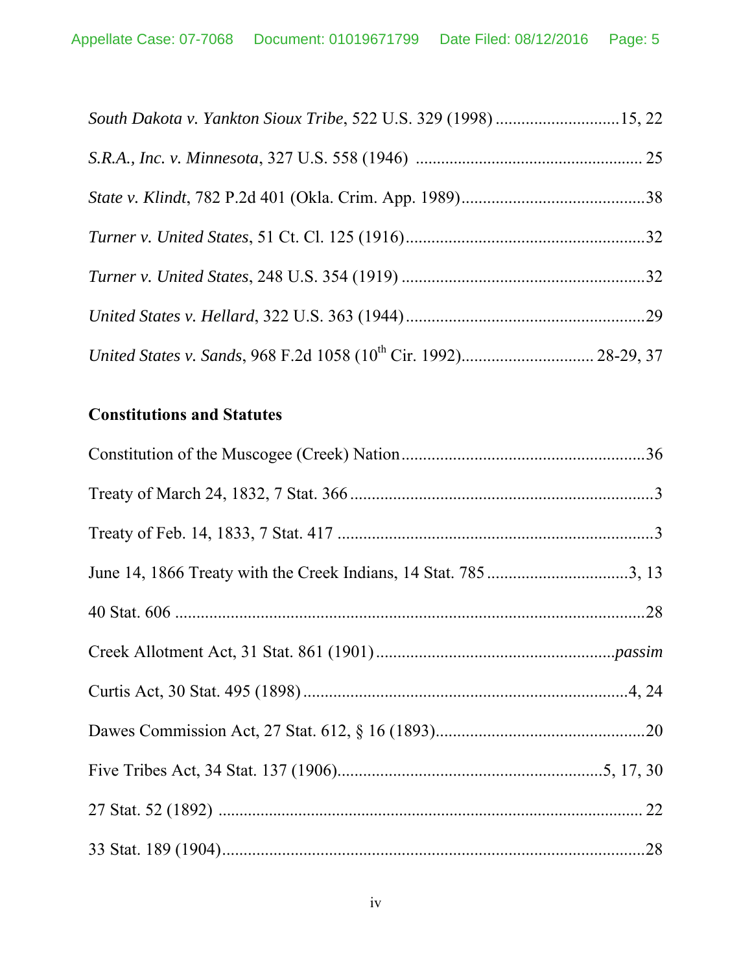# **Constitutions and Statutes**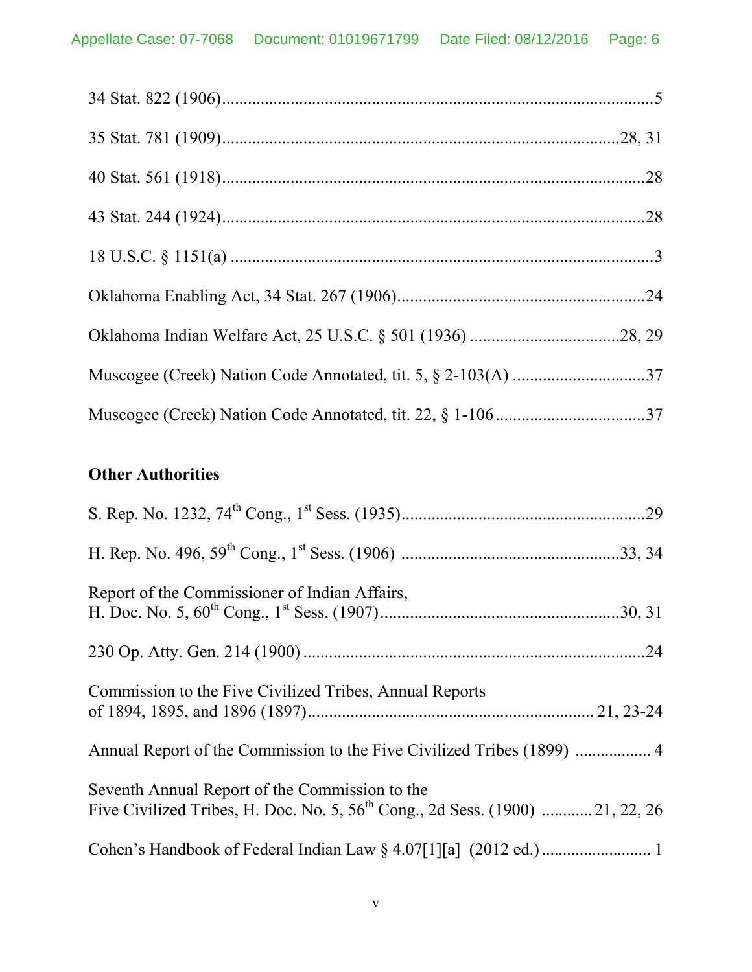# **Other Authorities**

| Report of the Commissioner of Indian Affairs,                                                                                        |
|--------------------------------------------------------------------------------------------------------------------------------------|
|                                                                                                                                      |
| Commission to the Five Civilized Tribes, Annual Reports                                                                              |
| Annual Report of the Commission to the Five Civilized Tribes (1899)  4                                                               |
| Seventh Annual Report of the Commission to the<br>Five Civilized Tribes, H. Doc. No. 5, $56^{th}$ Cong., 2d Sess. (1900)  21, 22, 26 |
|                                                                                                                                      |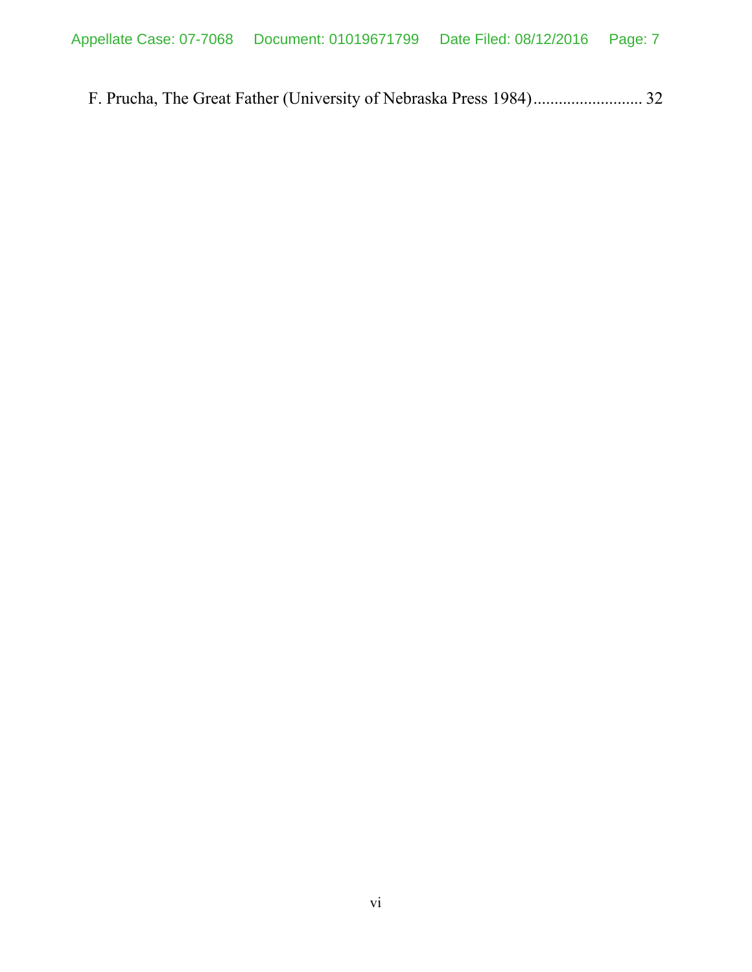F. Prucha, The Great Father (University of Nebraska Press 1984) .......................... 32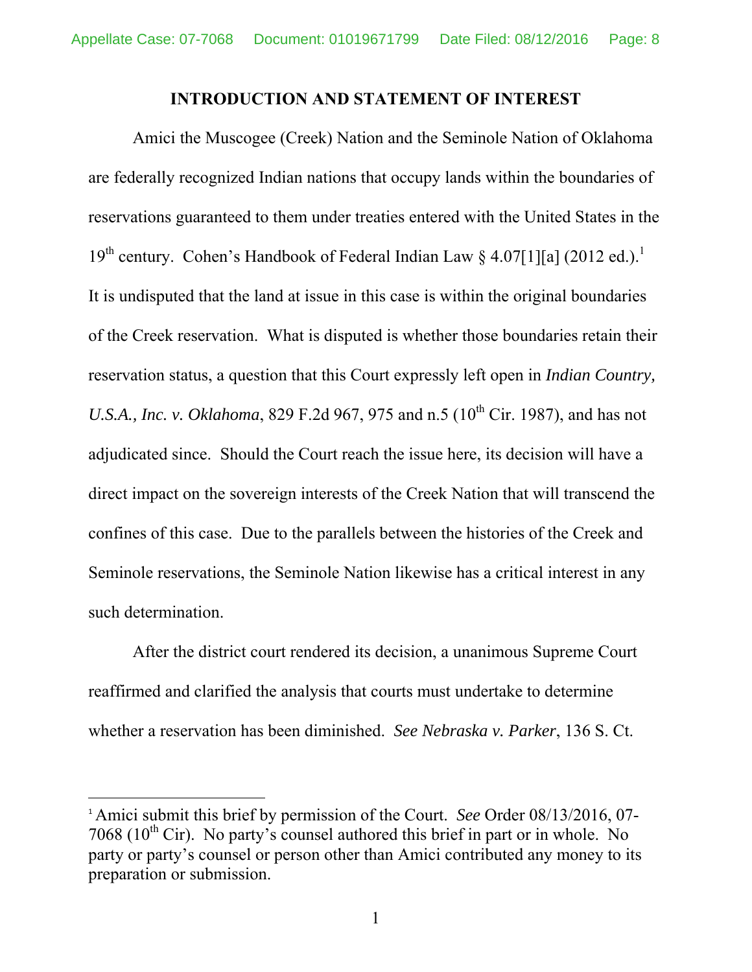#### **INTRODUCTION AND STATEMENT OF INTEREST**

Amici the Muscogee (Creek) Nation and the Seminole Nation of Oklahoma are federally recognized Indian nations that occupy lands within the boundaries of reservations guaranteed to them under treaties entered with the United States in the 19<sup>th</sup> century. Cohen's Handbook of Federal Indian Law § 4.07[1][a] (2012 ed.).<sup>1</sup> It is undisputed that the land at issue in this case is within the original boundaries of the Creek reservation. What is disputed is whether those boundaries retain their reservation status, a question that this Court expressly left open in *Indian Country, U.S.A., Inc. v. Oklahoma,* 829 F.2d 967, 975 and n.5 (10<sup>th</sup> Cir. 1987), and has not adjudicated since. Should the Court reach the issue here, its decision will have a direct impact on the sovereign interests of the Creek Nation that will transcend the confines of this case. Due to the parallels between the histories of the Creek and Seminole reservations, the Seminole Nation likewise has a critical interest in any such determination.

After the district court rendered its decision, a unanimous Supreme Court reaffirmed and clarified the analysis that courts must undertake to determine whether a reservation has been diminished. *See Nebraska v. Parker*, 136 S. Ct.

<sup>1</sup> Amici submit this brief by permission of the Court. *See* Order 08/13/2016, 07- 7068 ( $10^{th}$  Cir). No party's counsel authored this brief in part or in whole. No party or party's counsel or person other than Amici contributed any money to its preparation or submission.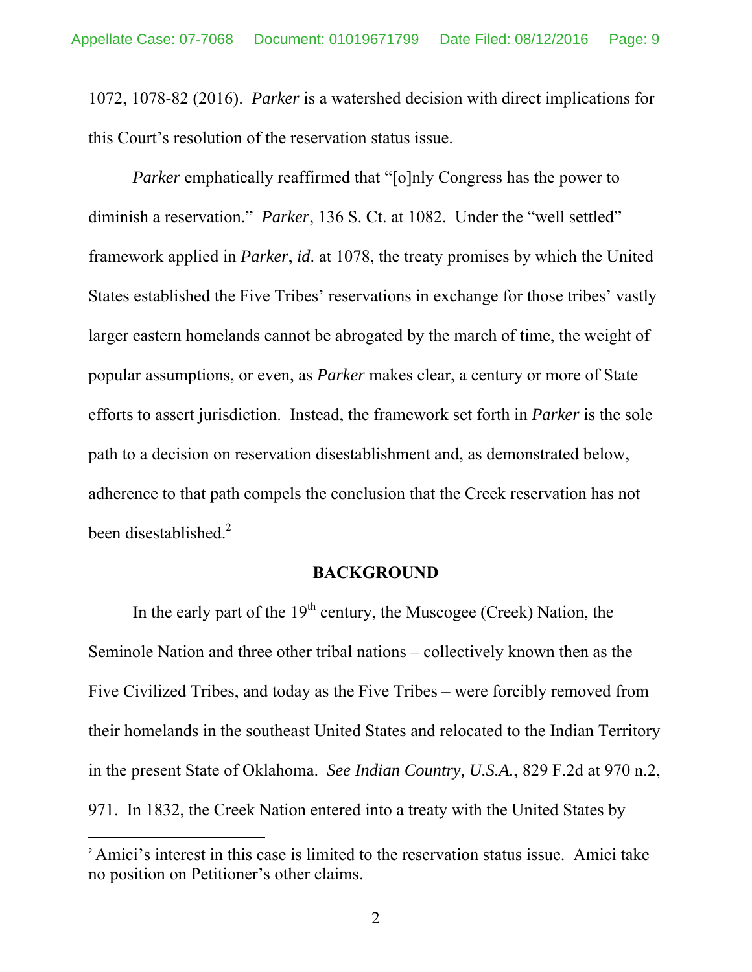1072, 1078-82 (2016). *Parker* is a watershed decision with direct implications for this Court's resolution of the reservation status issue.

*Parker* emphatically reaffirmed that "[o]nly Congress has the power to diminish a reservation." *Parker*, 136 S. Ct. at 1082. Under the "well settled" framework applied in *Parker*, *id*. at 1078, the treaty promises by which the United States established the Five Tribes' reservations in exchange for those tribes' vastly larger eastern homelands cannot be abrogated by the march of time, the weight of popular assumptions, or even, as *Parker* makes clear, a century or more of State efforts to assert jurisdiction. Instead, the framework set forth in *Parker* is the sole path to a decision on reservation disestablishment and, as demonstrated below, adherence to that path compels the conclusion that the Creek reservation has not been disestablished.<sup>2</sup>

#### **BACKGROUND**

In the early part of the  $19<sup>th</sup>$  century, the Muscogee (Creek) Nation, the Seminole Nation and three other tribal nations – collectively known then as the Five Civilized Tribes, and today as the Five Tribes – were forcibly removed from their homelands in the southeast United States and relocated to the Indian Territory in the present State of Oklahoma. *See Indian Country, U.S.A.*, 829 F.2d at 970 n.2, 971. In 1832, the Creek Nation entered into a treaty with the United States by

<sup>&</sup>lt;sup>2</sup> Amici's interest in this case is limited to the reservation status issue. Amici take no position on Petitioner's other claims.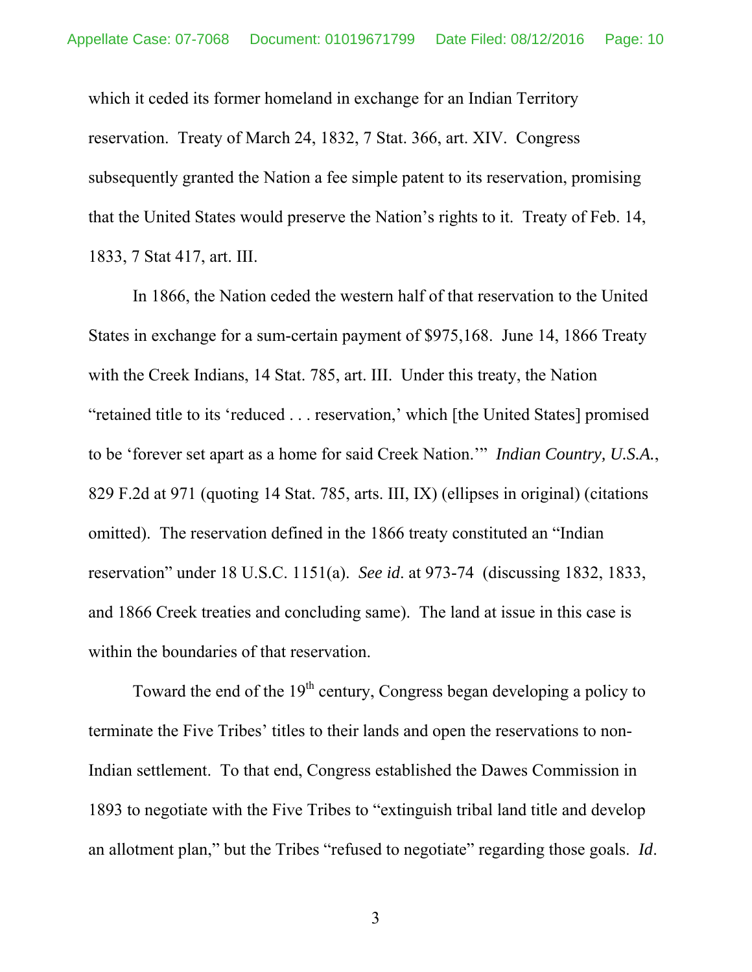which it ceded its former homeland in exchange for an Indian Territory reservation. Treaty of March 24, 1832, 7 Stat. 366, art. XIV. Congress subsequently granted the Nation a fee simple patent to its reservation, promising that the United States would preserve the Nation's rights to it. Treaty of Feb. 14, 1833, 7 Stat 417, art. III.

 In 1866, the Nation ceded the western half of that reservation to the United States in exchange for a sum-certain payment of \$975,168. June 14, 1866 Treaty with the Creek Indians, 14 Stat. 785, art. III. Under this treaty, the Nation "retained title to its 'reduced . . . reservation,' which [the United States] promised to be 'forever set apart as a home for said Creek Nation.'" *Indian Country, U.S.A.*, 829 F.2d at 971 (quoting 14 Stat. 785, arts. III, IX) (ellipses in original) (citations omitted). The reservation defined in the 1866 treaty constituted an "Indian reservation" under 18 U.S.C. 1151(a). *See id*. at 973-74 (discussing 1832, 1833, and 1866 Creek treaties and concluding same). The land at issue in this case is within the boundaries of that reservation.

Toward the end of the  $19<sup>th</sup>$  century, Congress began developing a policy to terminate the Five Tribes' titles to their lands and open the reservations to non-Indian settlement. To that end, Congress established the Dawes Commission in 1893 to negotiate with the Five Tribes to "extinguish tribal land title and develop an allotment plan," but the Tribes "refused to negotiate" regarding those goals. *Id*.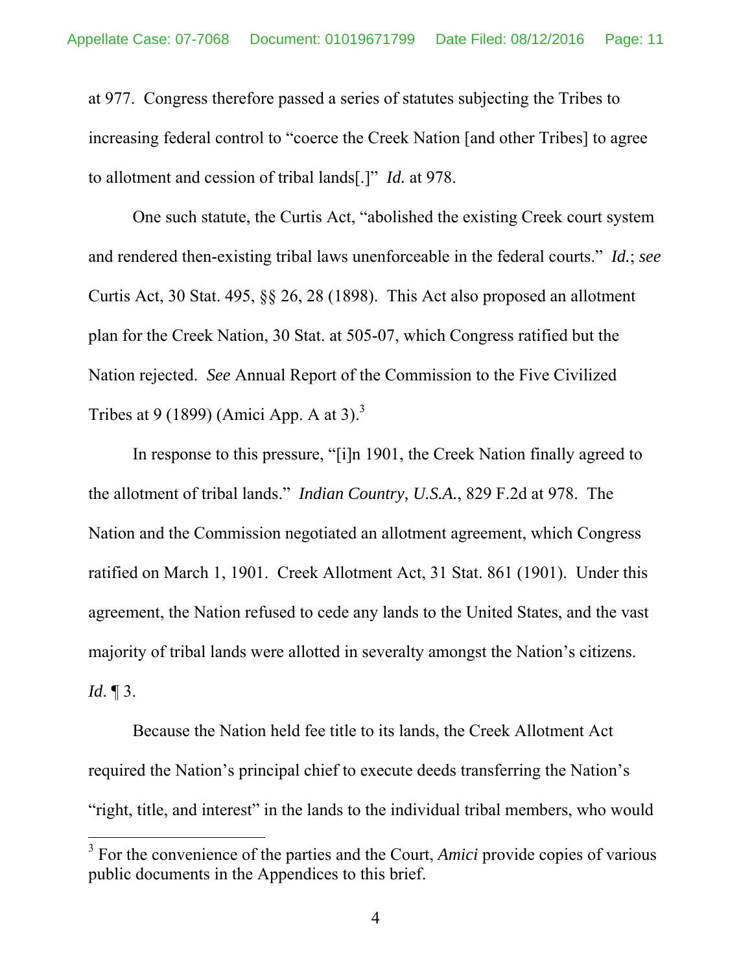at 977. Congress therefore passed a series of statutes subjecting the Tribes to increasing federal control to "coerce the Creek Nation [and other Tribes] to agree to allotment and cession of tribal lands[.]" *Id.* at 978.

One such statute, the Curtis Act, "abolished the existing Creek court system and rendered then-existing tribal laws unenforceable in the federal courts." *Id.*; *see* Curtis Act, 30 Stat. 495, §§ 26, 28 (1898). This Act also proposed an allotment plan for the Creek Nation, 30 Stat. at 505-07, which Congress ratified but the Nation rejected. *See* Annual Report of the Commission to the Five Civilized Tribes at 9 (1899) (Amici App. A at 3).<sup>3</sup>

In response to this pressure, "[i]n 1901, the Creek Nation finally agreed to the allotment of tribal lands." *Indian Country, U.S.A.*, 829 F.2d at 978. The Nation and the Commission negotiated an allotment agreement, which Congress ratified on March 1, 1901. Creek Allotment Act, 31 Stat. 861 (1901). Under this agreement, the Nation refused to cede any lands to the United States, and the vast majority of tribal lands were allotted in severalty amongst the Nation's citizens. *Id*. ¶ 3.

Because the Nation held fee title to its lands, the Creek Allotment Act required the Nation's principal chief to execute deeds transferring the Nation's "right, title, and interest" in the lands to the individual tribal members, who would

<sup>&</sup>lt;sup>3</sup> For the convenience of the parties and the Court, *Amici* provide copies of various public documents in the Appendices to this brief.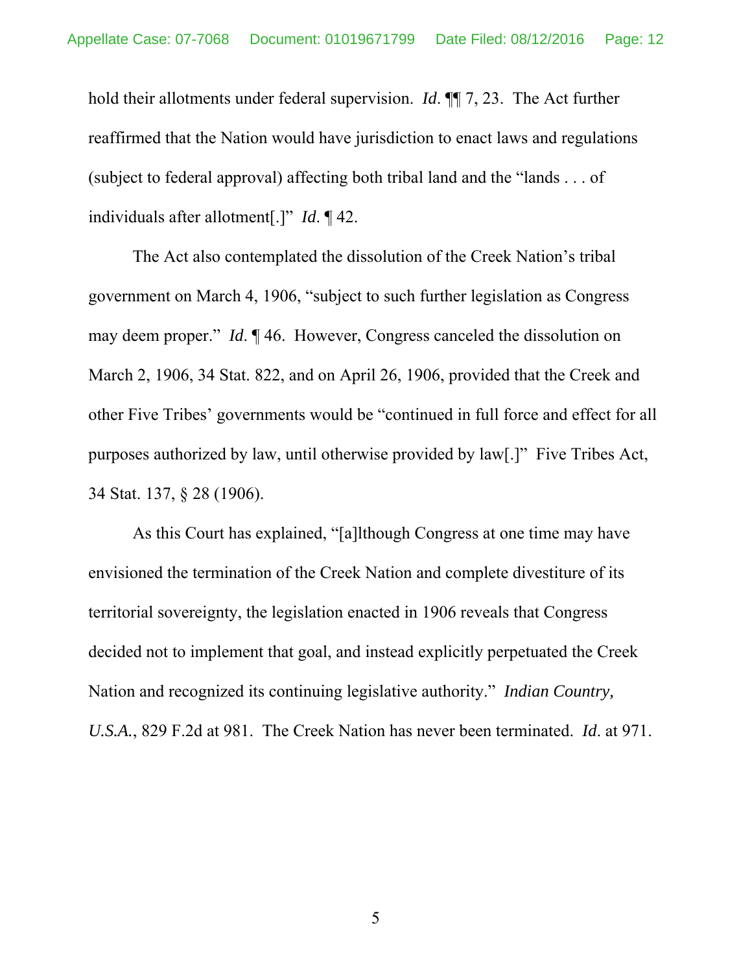hold their allotments under federal supervision. *Id*. ¶¶ 7, 23. The Act further reaffirmed that the Nation would have jurisdiction to enact laws and regulations (subject to federal approval) affecting both tribal land and the "lands . . . of individuals after allotment[.]" *Id*. ¶ 42.

The Act also contemplated the dissolution of the Creek Nation's tribal government on March 4, 1906, "subject to such further legislation as Congress may deem proper." *Id*. ¶ 46. However, Congress canceled the dissolution on March 2, 1906, 34 Stat. 822, and on April 26, 1906, provided that the Creek and other Five Tribes' governments would be "continued in full force and effect for all purposes authorized by law, until otherwise provided by law[.]" Five Tribes Act, 34 Stat. 137, § 28 (1906).

As this Court has explained, "[a]lthough Congress at one time may have envisioned the termination of the Creek Nation and complete divestiture of its territorial sovereignty, the legislation enacted in 1906 reveals that Congress decided not to implement that goal, and instead explicitly perpetuated the Creek Nation and recognized its continuing legislative authority." *Indian Country, U.S.A.*, 829 F.2d at 981. The Creek Nation has never been terminated. *Id*. at 971.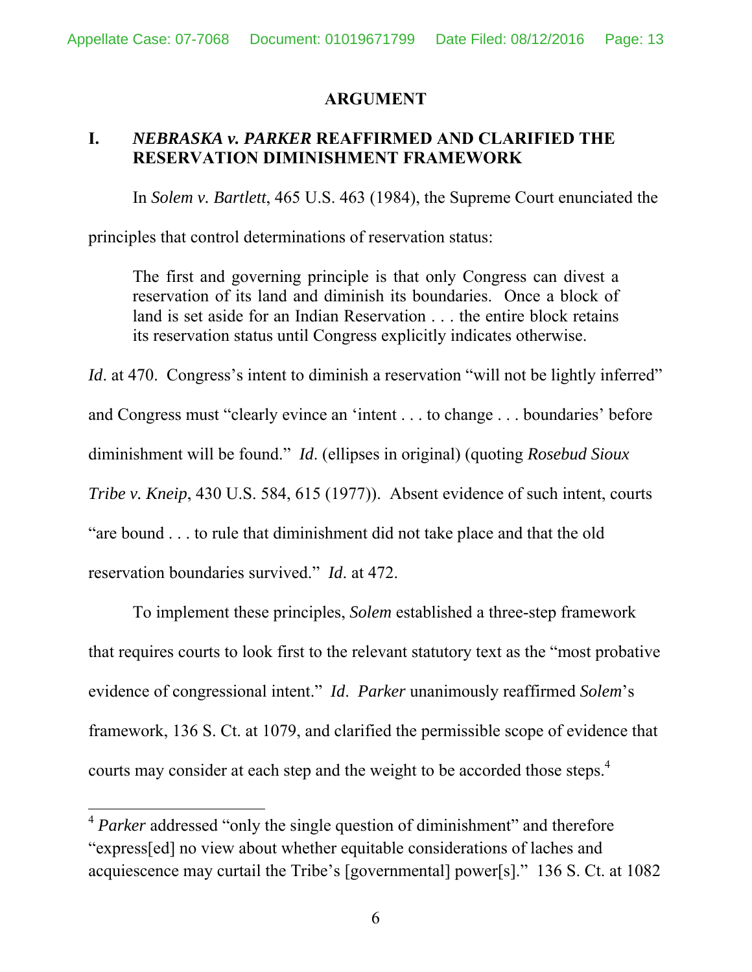#### **ARGUMENT**

# **I.** *NEBRASKA v. PARKER* **REAFFIRMED AND CLARIFIED THE RESERVATION DIMINISHMENT FRAMEWORK**

In *Solem v. Bartlett*, 465 U.S. 463 (1984), the Supreme Court enunciated the

principles that control determinations of reservation status:

The first and governing principle is that only Congress can divest a reservation of its land and diminish its boundaries. Once a block of land is set aside for an Indian Reservation . . . the entire block retains its reservation status until Congress explicitly indicates otherwise.

*Id.* at 470. Congress's intent to diminish a reservation "will not be lightly inferred" and Congress must "clearly evince an 'intent . . . to change . . . boundaries' before diminishment will be found." *Id*. (ellipses in original) (quoting *Rosebud Sioux Tribe v. Kneip*, 430 U.S. 584, 615 (1977)). Absent evidence of such intent, courts "are bound . . . to rule that diminishment did not take place and that the old reservation boundaries survived." *Id*. at 472.

 To implement these principles, *Solem* established a three-step framework that requires courts to look first to the relevant statutory text as the "most probative evidence of congressional intent." *Id*. *Parker* unanimously reaffirmed *Solem*'s framework, 136 S. Ct. at 1079, and clarified the permissible scope of evidence that courts may consider at each step and the weight to be accorded those steps.<sup>4</sup>

<sup>&</sup>lt;sup>4</sup> Parker addressed "only the single question of diminishment" and therefore "express[ed] no view about whether equitable considerations of laches and acquiescence may curtail the Tribe's [governmental] power[s]." 136 S. Ct. at 1082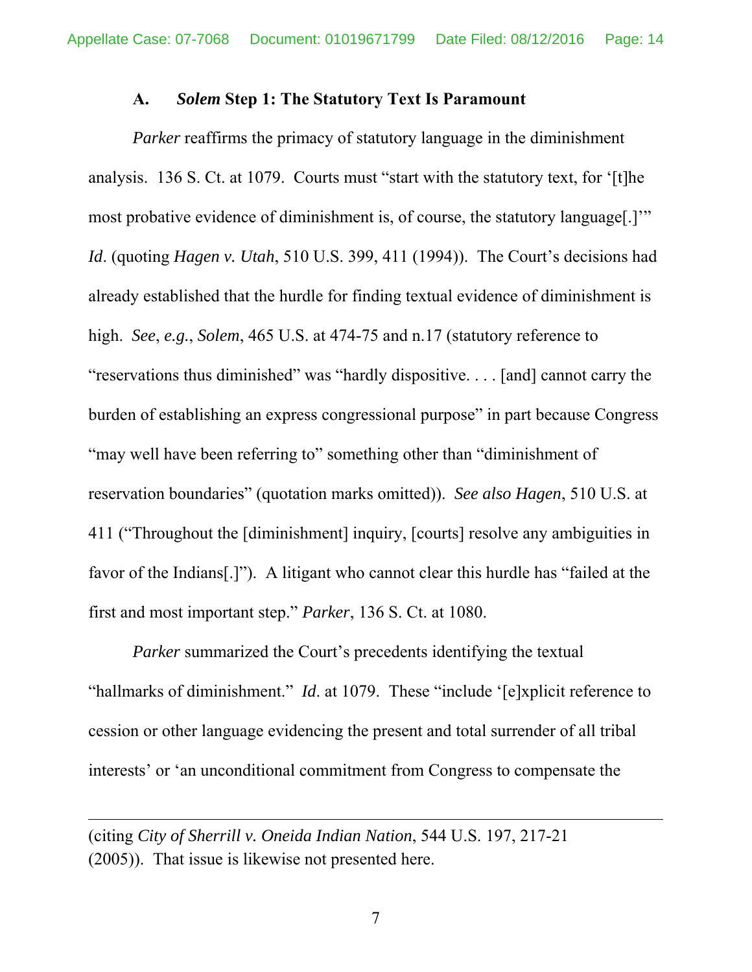#### **A.** *Solem* **Step 1: The Statutory Text Is Paramount**

*Parker* reaffirms the primacy of statutory language in the diminishment analysis. 136 S. Ct. at 1079. Courts must "start with the statutory text, for '[t]he most probative evidence of diminishment is, of course, the statutory language[.]'" *Id*. (quoting *Hagen v. Utah*, 510 U.S. 399, 411 (1994)). The Court's decisions had already established that the hurdle for finding textual evidence of diminishment is high. *See*, *e.g.*, *Solem*, 465 U.S. at 474-75 and n.17 (statutory reference to "reservations thus diminished" was "hardly dispositive. . . . [and] cannot carry the burden of establishing an express congressional purpose" in part because Congress "may well have been referring to" something other than "diminishment of reservation boundaries" (quotation marks omitted)). *See also Hagen*, 510 U.S. at 411 ("Throughout the [diminishment] inquiry, [courts] resolve any ambiguities in favor of the Indians[.]"). A litigant who cannot clear this hurdle has "failed at the first and most important step." *Parker*, 136 S. Ct. at 1080.

*Parker* summarized the Court's precedents identifying the textual "hallmarks of diminishment." *Id*. at 1079. These "include '[e]xplicit reference to cession or other language evidencing the present and total surrender of all tribal interests' or 'an unconditional commitment from Congress to compensate the

<u> 1989 - Johann Stein, marwolaethau a gweledydd a ganlad y ganlad y ganlad y ganlad y ganlad y ganlad y ganlad</u>

<sup>(</sup>citing *City of Sherrill v. Oneida Indian Nation*, 544 U.S. 197, 217-21 (2005)). That issue is likewise not presented here.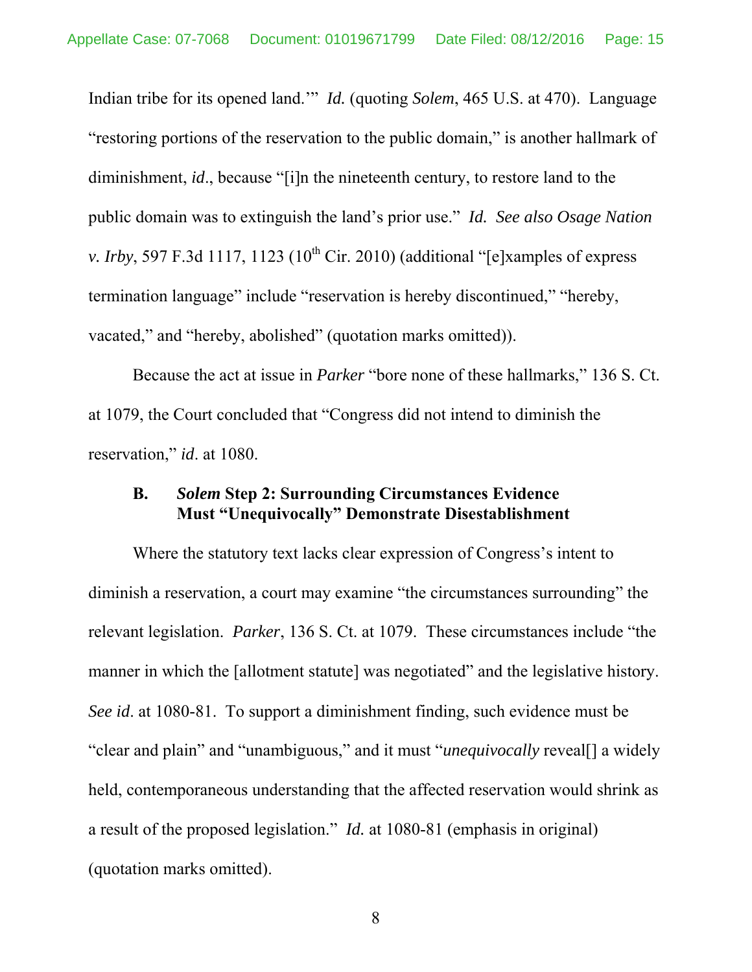Indian tribe for its opened land.'" *Id.* (quoting *Solem*, 465 U.S. at 470). Language "restoring portions of the reservation to the public domain," is another hallmark of diminishment, *id*., because "[i]n the nineteenth century, to restore land to the public domain was to extinguish the land's prior use." *Id. See also Osage Nation v. Irby*, 597 F.3d 1117, 1123 ( $10^{th}$  Cir. 2010) (additional "[e]xamples of express termination language" include "reservation is hereby discontinued," "hereby, vacated," and "hereby, abolished" (quotation marks omitted)).

Because the act at issue in *Parker* "bore none of these hallmarks," 136 S. Ct. at 1079, the Court concluded that "Congress did not intend to diminish the reservation," *id*. at 1080.

#### **B.** *Solem* **Step 2: Surrounding Circumstances Evidence Must "Unequivocally" Demonstrate Disestablishment**

Where the statutory text lacks clear expression of Congress's intent to diminish a reservation, a court may examine "the circumstances surrounding" the relevant legislation. *Parker*, 136 S. Ct. at 1079. These circumstances include "the manner in which the [allotment statute] was negotiated" and the legislative history. *See id*. at 1080-81. To support a diminishment finding, such evidence must be "clear and plain" and "unambiguous," and it must "*unequivocally* reveal[] a widely held, contemporaneous understanding that the affected reservation would shrink as a result of the proposed legislation." *Id.* at 1080-81 (emphasis in original) (quotation marks omitted).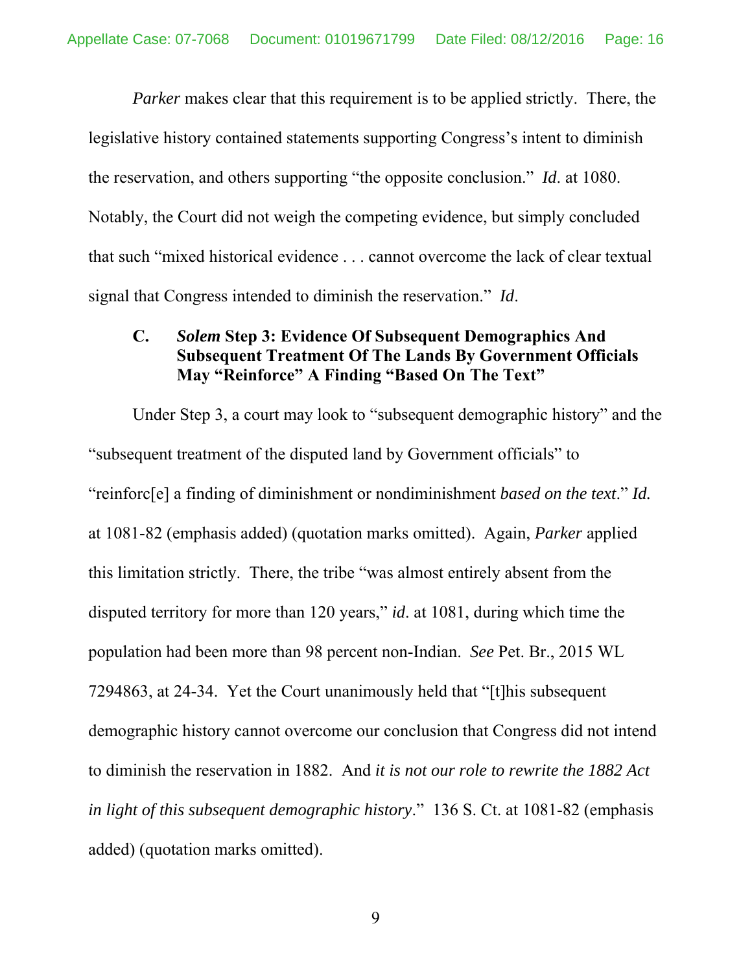*Parker* makes clear that this requirement is to be applied strictly. There, the legislative history contained statements supporting Congress's intent to diminish the reservation, and others supporting "the opposite conclusion." *Id*. at 1080. Notably, the Court did not weigh the competing evidence, but simply concluded that such "mixed historical evidence . . . cannot overcome the lack of clear textual signal that Congress intended to diminish the reservation." *Id*.

### **C.** *Solem* **Step 3: Evidence Of Subsequent Demographics And Subsequent Treatment Of The Lands By Government Officials May "Reinforce" A Finding "Based On The Text"**

Under Step 3, a court may look to "subsequent demographic history" and the "subsequent treatment of the disputed land by Government officials" to "reinforc[e] a finding of diminishment or nondiminishment *based on the text*." *Id.* at 1081-82 (emphasis added) (quotation marks omitted). Again, *Parker* applied this limitation strictly. There, the tribe "was almost entirely absent from the disputed territory for more than 120 years," *id*. at 1081, during which time the population had been more than 98 percent non-Indian. *See* Pet. Br., 2015 WL 7294863, at 24-34. Yet the Court unanimously held that "[t]his subsequent demographic history cannot overcome our conclusion that Congress did not intend to diminish the reservation in 1882. And *it is not our role to rewrite the 1882 Act in light of this subsequent demographic history*." 136 S. Ct. at 1081-82 (emphasis added) (quotation marks omitted).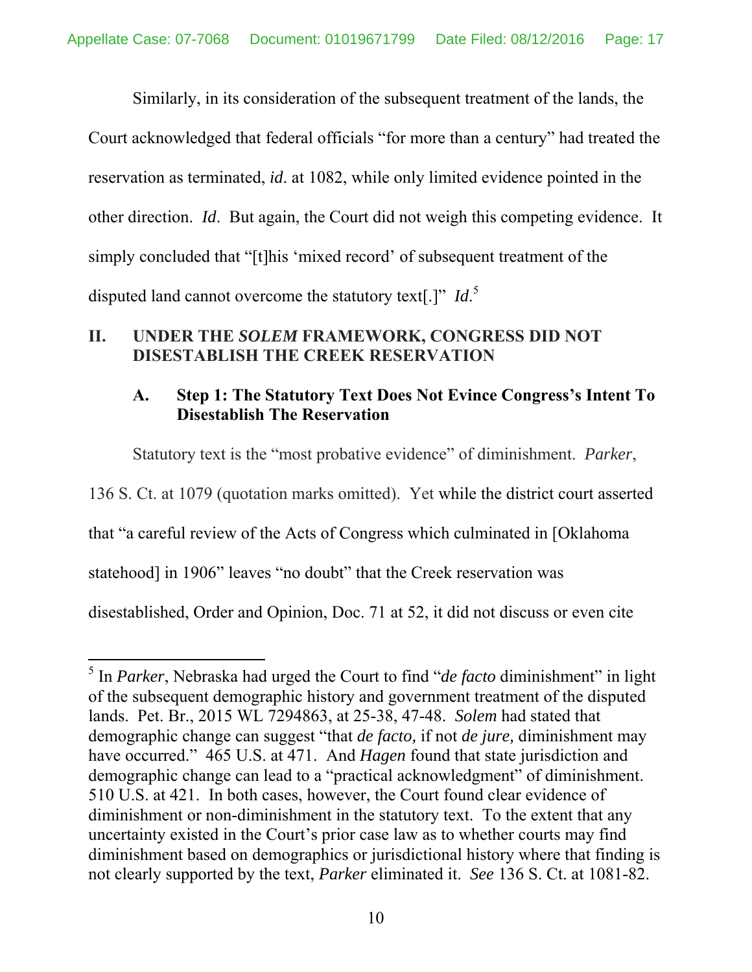Similarly, in its consideration of the subsequent treatment of the lands, the Court acknowledged that federal officials "for more than a century" had treated the reservation as terminated, *id*. at 1082, while only limited evidence pointed in the other direction. *Id*. But again, the Court did not weigh this competing evidence. It simply concluded that "[t]his 'mixed record' of subsequent treatment of the disputed land cannot overcome the statutory text[.]" *Id*. 5

### **II. UNDER THE** *SOLEM* **FRAMEWORK, CONGRESS DID NOT DISESTABLISH THE CREEK RESERVATION**

## **A. Step 1: The Statutory Text Does Not Evince Congress's Intent To Disestablish The Reservation**

Statutory text is the "most probative evidence" of diminishment. *Parker*, 136 S. Ct. at 1079 (quotation marks omitted). Yet while the district court asserted that "a careful review of the Acts of Congress which culminated in [Oklahoma statehood] in 1906" leaves "no doubt" that the Creek reservation was disestablished, Order and Opinion, Doc. 71 at 52, it did not discuss or even cite

<sup>5</sup> In *Parker*, Nebraska had urged the Court to find "*de facto* diminishment" in light of the subsequent demographic history and government treatment of the disputed lands. Pet. Br., 2015 WL 7294863, at 25-38, 47-48. *Solem* had stated that demographic change can suggest "that *de facto,* if not *de jure,* diminishment may have occurred." 465 U.S. at 471. And *Hagen* found that state jurisdiction and demographic change can lead to a "practical acknowledgment" of diminishment. 510 U.S. at 421. In both cases, however, the Court found clear evidence of diminishment or non-diminishment in the statutory text. To the extent that any uncertainty existed in the Court's prior case law as to whether courts may find diminishment based on demographics or jurisdictional history where that finding is not clearly supported by the text, *Parker* eliminated it. *See* 136 S. Ct. at 1081-82.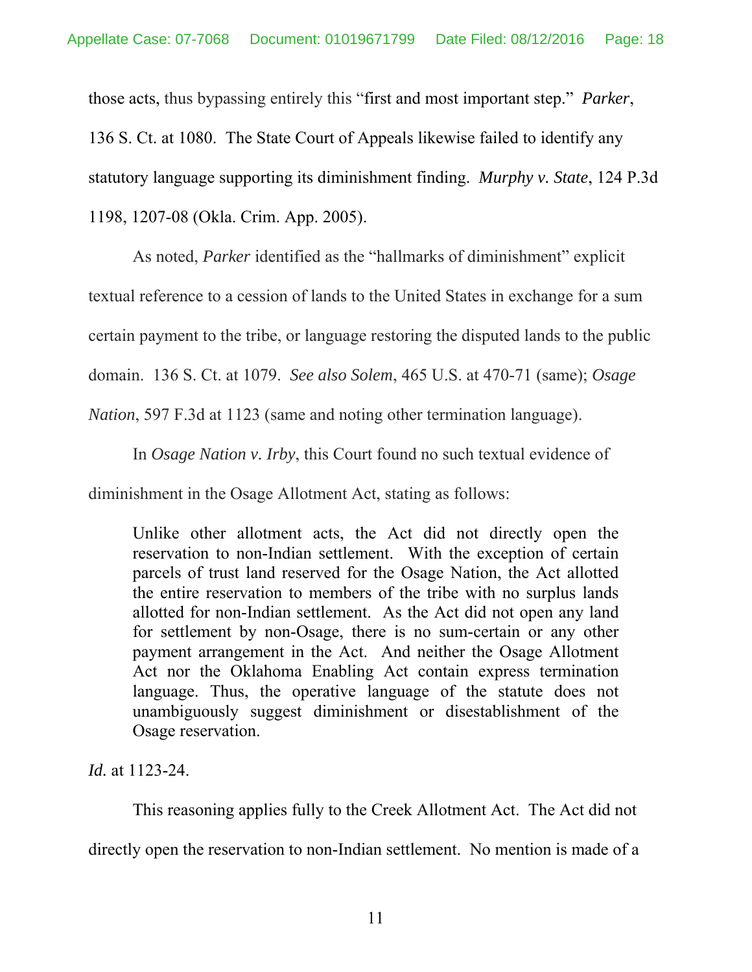those acts, thus bypassing entirely this "first and most important step." *Parker*,

136 S. Ct. at 1080. The State Court of Appeals likewise failed to identify any

statutory language supporting its diminishment finding. *Murphy v. State*, 124 P.3d

1198, 1207-08 (Okla. Crim. App. 2005).

As noted, *Parker* identified as the "hallmarks of diminishment" explicit

textual reference to a cession of lands to the United States in exchange for a sum

certain payment to the tribe, or language restoring the disputed lands to the public

domain. 136 S. Ct. at 1079. *See also Solem*, 465 U.S. at 470-71 (same); *Osage* 

*Nation*, 597 F.3d at 1123 (same and noting other termination language).

In *Osage Nation v. Irby*, this Court found no such textual evidence of

diminishment in the Osage Allotment Act, stating as follows:

Unlike other allotment acts, the Act did not directly open the reservation to non-Indian settlement. With the exception of certain parcels of trust land reserved for the Osage Nation, the Act allotted the entire reservation to members of the tribe with no surplus lands allotted for non-Indian settlement. As the Act did not open any land for settlement by non-Osage, there is no sum-certain or any other payment arrangement in the Act. And neither the Osage Allotment Act nor the Oklahoma Enabling Act contain express termination language. Thus, the operative language of the statute does not unambiguously suggest diminishment or disestablishment of the Osage reservation.

*Id.* at 1123-24.

This reasoning applies fully to the Creek Allotment Act. The Act did not

directly open the reservation to non-Indian settlement. No mention is made of a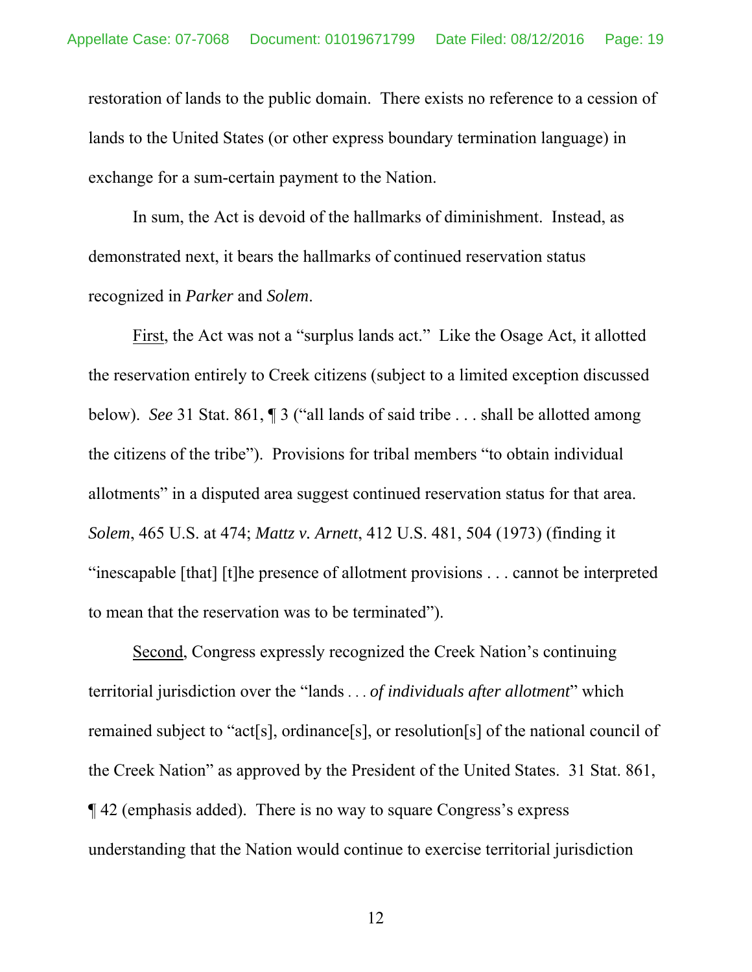restoration of lands to the public domain. There exists no reference to a cession of lands to the United States (or other express boundary termination language) in exchange for a sum-certain payment to the Nation.

In sum, the Act is devoid of the hallmarks of diminishment. Instead, as demonstrated next, it bears the hallmarks of continued reservation status recognized in *Parker* and *Solem*.

First, the Act was not a "surplus lands act." Like the Osage Act, it allotted the reservation entirely to Creek citizens (subject to a limited exception discussed below). *See* 31 Stat. 861, ¶ 3 ("all lands of said tribe . . . shall be allotted among the citizens of the tribe"). Provisions for tribal members "to obtain individual allotments" in a disputed area suggest continued reservation status for that area. *Solem*, 465 U.S. at 474; *Mattz v. Arnett*, 412 U.S. 481, 504 (1973) (finding it "inescapable [that] [t]he presence of allotment provisions . . . cannot be interpreted to mean that the reservation was to be terminated").

Second, Congress expressly recognized the Creek Nation's continuing territorial jurisdiction over the "lands . . . *of individuals after allotment*" which remained subject to "act[s], ordinance[s], or resolution[s] of the national council of the Creek Nation" as approved by the President of the United States. 31 Stat. 861, ¶ 42 (emphasis added). There is no way to square Congress's express understanding that the Nation would continue to exercise territorial jurisdiction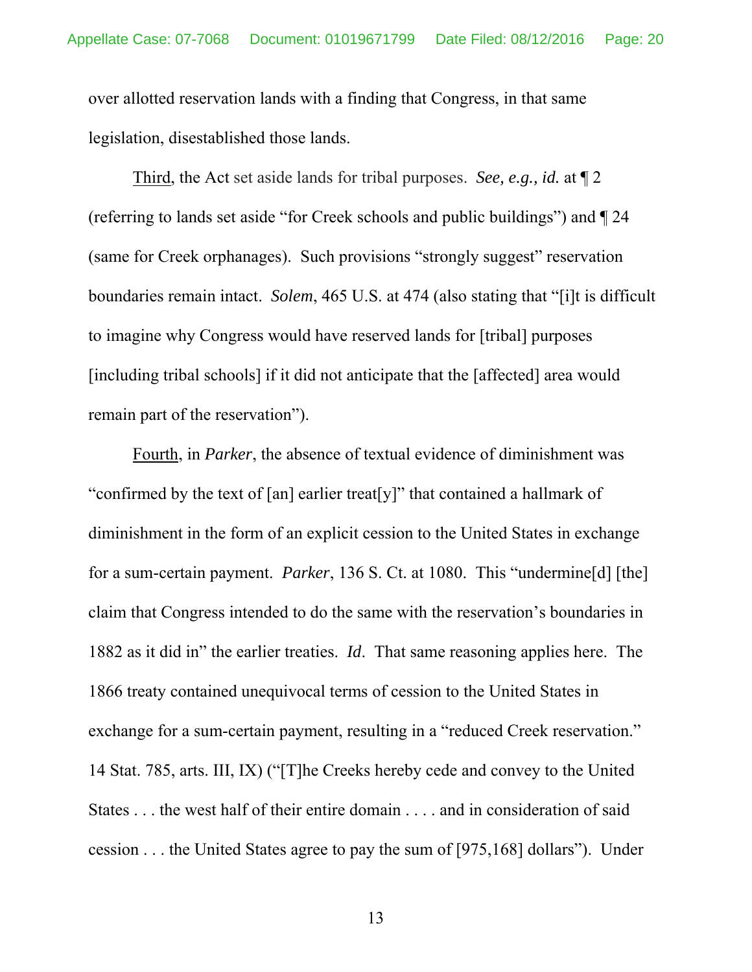over allotted reservation lands with a finding that Congress, in that same legislation, disestablished those lands.

Third, the Act set aside lands for tribal purposes. *See, e.g., id.* at ¶ 2 (referring to lands set aside "for Creek schools and public buildings") and ¶ 24 (same for Creek orphanages). Such provisions "strongly suggest" reservation boundaries remain intact. *Solem*, 465 U.S. at 474 (also stating that "[i]t is difficult to imagine why Congress would have reserved lands for [tribal] purposes [including tribal schools] if it did not anticipate that the [affected] area would remain part of the reservation").

 Fourth, in *Parker*, the absence of textual evidence of diminishment was "confirmed by the text of [an] earlier treat[y]" that contained a hallmark of diminishment in the form of an explicit cession to the United States in exchange for a sum-certain payment. *Parker*, 136 S. Ct. at 1080. This "undermine[d] [the] claim that Congress intended to do the same with the reservation's boundaries in 1882 as it did in" the earlier treaties. *Id*. That same reasoning applies here. The 1866 treaty contained unequivocal terms of cession to the United States in exchange for a sum-certain payment, resulting in a "reduced Creek reservation." 14 Stat. 785, arts. III, IX) ("[T]he Creeks hereby cede and convey to the United States . . . the west half of their entire domain . . . . and in consideration of said cession . . . the United States agree to pay the sum of [975,168] dollars"). Under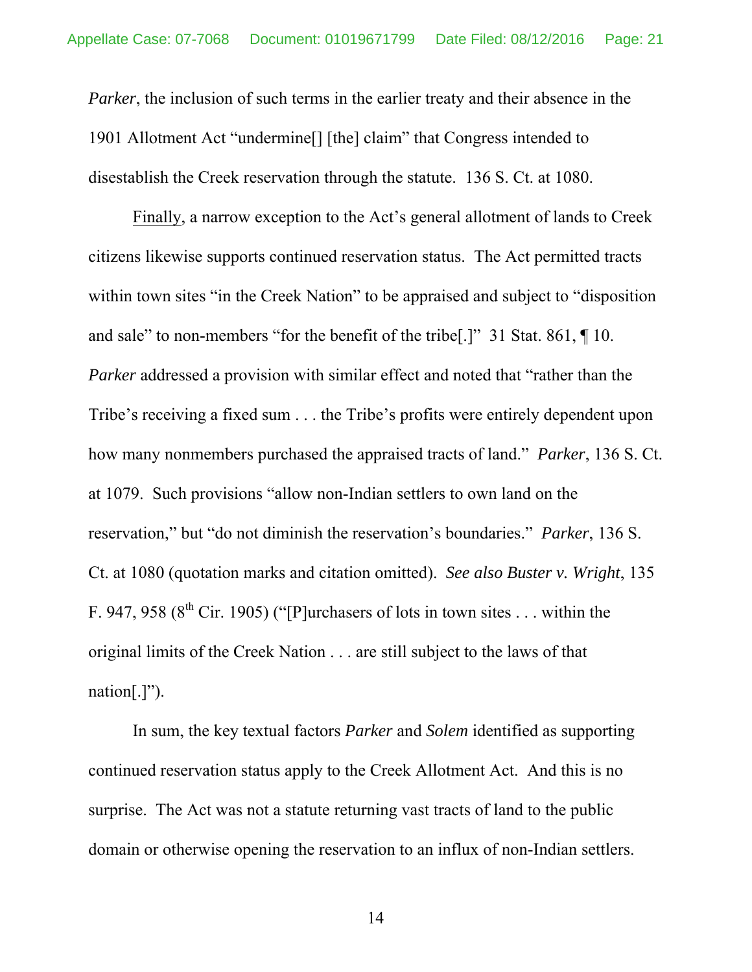*Parker*, the inclusion of such terms in the earlier treaty and their absence in the 1901 Allotment Act "undermine[] [the] claim" that Congress intended to disestablish the Creek reservation through the statute. 136 S. Ct. at 1080.

 Finally, a narrow exception to the Act's general allotment of lands to Creek citizens likewise supports continued reservation status. The Act permitted tracts within town sites "in the Creek Nation" to be appraised and subject to "disposition" and sale" to non-members "for the benefit of the tribe[.]" 31 Stat. 861, ¶ 10. *Parker* addressed a provision with similar effect and noted that "rather than the Tribe's receiving a fixed sum . . . the Tribe's profits were entirely dependent upon how many nonmembers purchased the appraised tracts of land." *Parker*, 136 S. Ct. at 1079. Such provisions "allow non-Indian settlers to own land on the reservation," but "do not diminish the reservation's boundaries." *Parker*, 136 S. Ct. at 1080 (quotation marks and citation omitted). *See also Buster v. Wright*, 135 F. 947, 958 ( $8<sup>th</sup>$  Cir. 1905) ("[P]urchasers of lots in town sites ... within the original limits of the Creek Nation . . . are still subject to the laws of that nation $[.]$ ").

 In sum, the key textual factors *Parker* and *Solem* identified as supporting continued reservation status apply to the Creek Allotment Act. And this is no surprise. The Act was not a statute returning vast tracts of land to the public domain or otherwise opening the reservation to an influx of non-Indian settlers.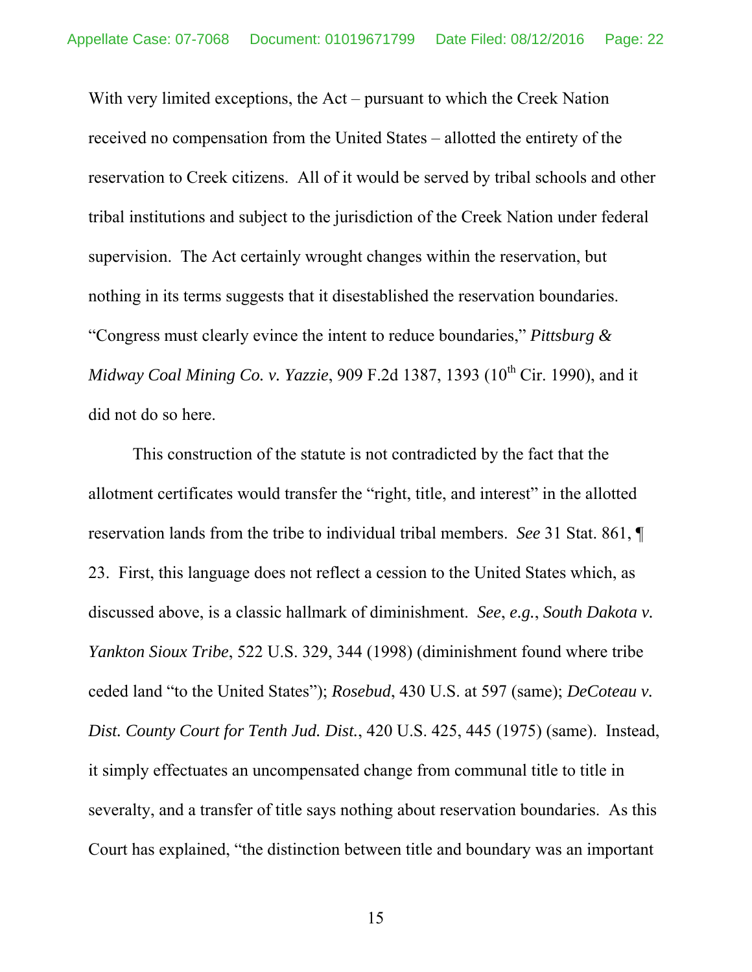With very limited exceptions, the Act – pursuant to which the Creek Nation received no compensation from the United States – allotted the entirety of the reservation to Creek citizens. All of it would be served by tribal schools and other tribal institutions and subject to the jurisdiction of the Creek Nation under federal supervision. The Act certainly wrought changes within the reservation, but nothing in its terms suggests that it disestablished the reservation boundaries. "Congress must clearly evince the intent to reduce boundaries," *Pittsburg & Midway Coal Mining Co. v. Yazzie*, 909 F.2d 1387, 1393 (10<sup>th</sup> Cir. 1990), and it did not do so here.

This construction of the statute is not contradicted by the fact that the allotment certificates would transfer the "right, title, and interest" in the allotted reservation lands from the tribe to individual tribal members. *See* 31 Stat. 861, ¶ 23. First, this language does not reflect a cession to the United States which, as discussed above, is a classic hallmark of diminishment. *See*, *e.g.*, *South Dakota v. Yankton Sioux Tribe*, 522 U.S. 329, 344 (1998) (diminishment found where tribe ceded land "to the United States"); *Rosebud*, 430 U.S. at 597 (same); *DeCoteau v. Dist. County Court for Tenth Jud. Dist.*, 420 U.S. 425, 445 (1975) (same). Instead, it simply effectuates an uncompensated change from communal title to title in severalty, and a transfer of title says nothing about reservation boundaries. As this Court has explained, "the distinction between title and boundary was an important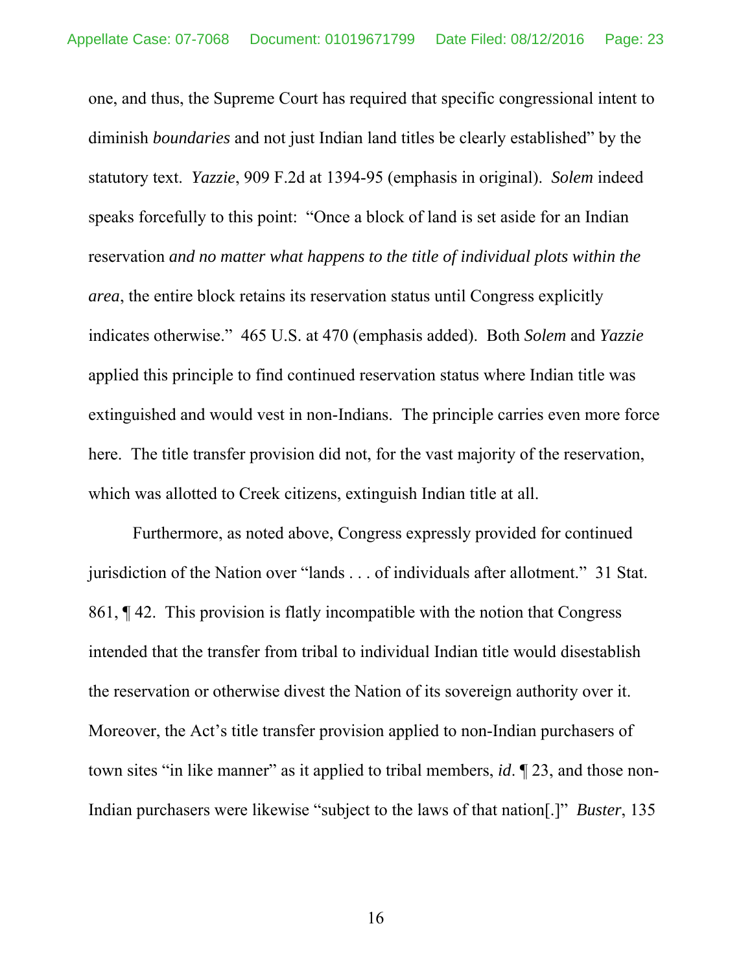one, and thus, the Supreme Court has required that specific congressional intent to diminish *boundaries* and not just Indian land titles be clearly established" by the statutory text. *Yazzie*, 909 F.2d at 1394-95 (emphasis in original). *Solem* indeed speaks forcefully to this point: "Once a block of land is set aside for an Indian reservation *and no matter what happens to the title of individual plots within the area*, the entire block retains its reservation status until Congress explicitly indicates otherwise." 465 U.S. at 470 (emphasis added). Both *Solem* and *Yazzie* applied this principle to find continued reservation status where Indian title was extinguished and would vest in non-Indians. The principle carries even more force here. The title transfer provision did not, for the vast majority of the reservation, which was allotted to Creek citizens, extinguish Indian title at all.

Furthermore, as noted above, Congress expressly provided for continued jurisdiction of the Nation over "lands . . . of individuals after allotment." 31 Stat. 861, ¶ 42. This provision is flatly incompatible with the notion that Congress intended that the transfer from tribal to individual Indian title would disestablish the reservation or otherwise divest the Nation of its sovereign authority over it. Moreover, the Act's title transfer provision applied to non-Indian purchasers of town sites "in like manner" as it applied to tribal members, *id*. ¶ 23, and those non-Indian purchasers were likewise "subject to the laws of that nation[.]" *Buster*, 135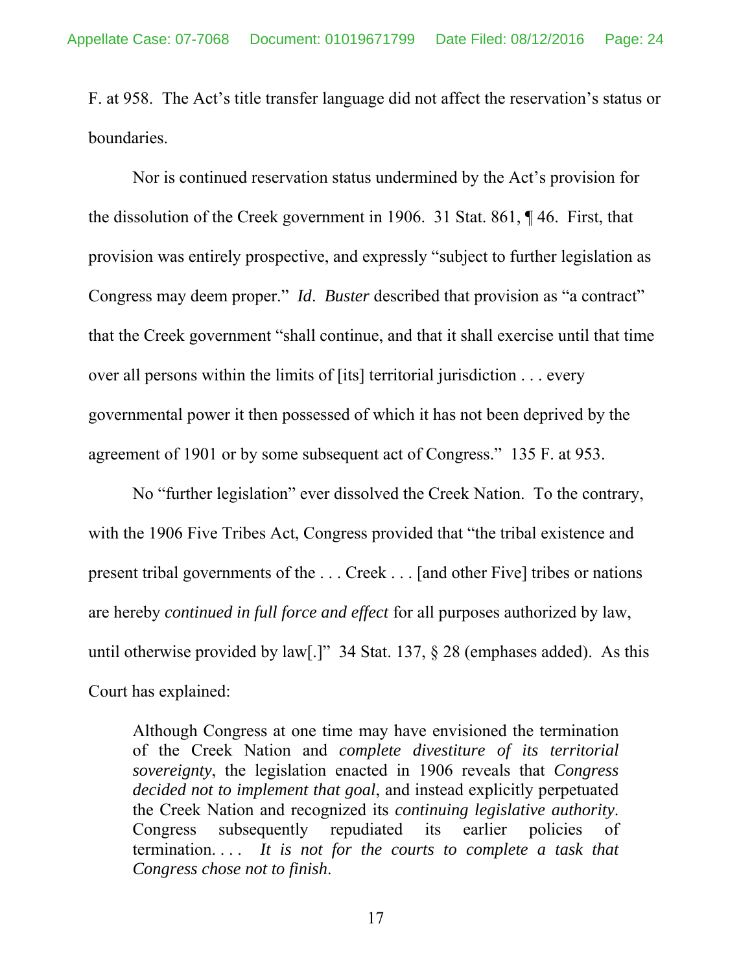F. at 958. The Act's title transfer language did not affect the reservation's status or boundaries.

Nor is continued reservation status undermined by the Act's provision for the dissolution of the Creek government in 1906. 31 Stat. 861, ¶ 46. First, that provision was entirely prospective, and expressly "subject to further legislation as Congress may deem proper." *Id*. *Buster* described that provision as "a contract" that the Creek government "shall continue, and that it shall exercise until that time over all persons within the limits of [its] territorial jurisdiction . . . every governmental power it then possessed of which it has not been deprived by the agreement of 1901 or by some subsequent act of Congress." 135 F. at 953.

No "further legislation" ever dissolved the Creek Nation. To the contrary, with the 1906 Five Tribes Act, Congress provided that "the tribal existence and present tribal governments of the . . . Creek . . . [and other Five] tribes or nations are hereby *continued in full force and effect* for all purposes authorized by law, until otherwise provided by law[.]" 34 Stat. 137, § 28 (emphases added). As this Court has explained:

Although Congress at one time may have envisioned the termination of the Creek Nation and *complete divestiture of its territorial sovereignty*, the legislation enacted in 1906 reveals that *Congress decided not to implement that goal*, and instead explicitly perpetuated the Creek Nation and recognized its *continuing legislative authority*. Congress subsequently repudiated its earlier policies of termination. . . . *It is not for the courts to complete a task that Congress chose not to finish*.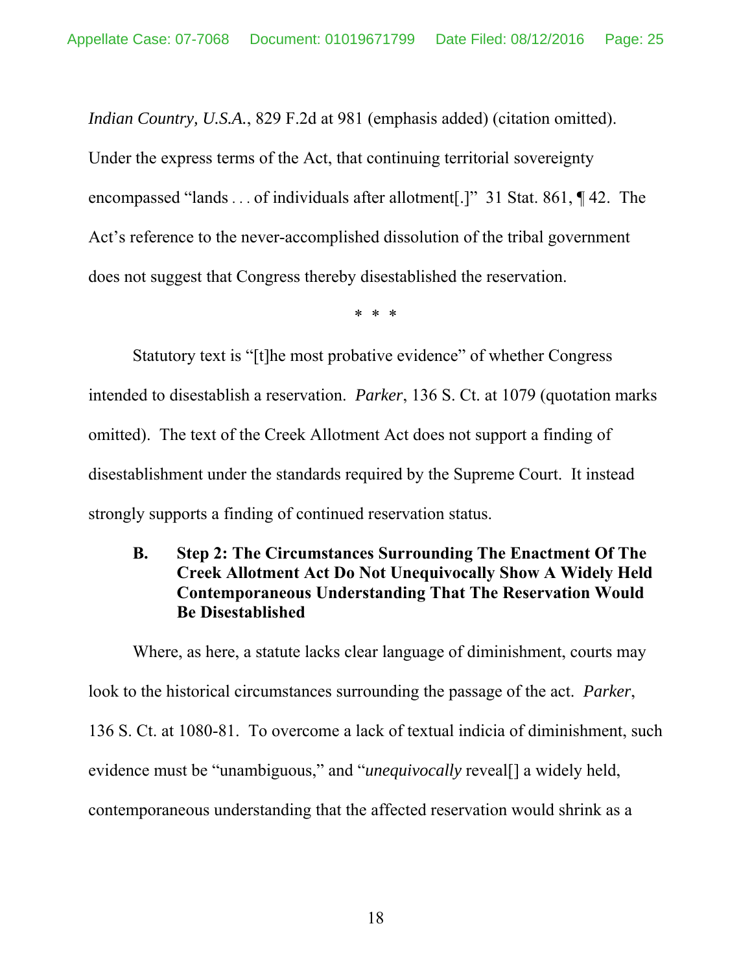*Indian Country, U.S.A.*, 829 F.2d at 981 (emphasis added) (citation omitted).

Under the express terms of the Act, that continuing territorial sovereignty encompassed "lands . . . of individuals after allotment[.]"31 Stat. 861, ¶ 42. The Act's reference to the never-accomplished dissolution of the tribal government does not suggest that Congress thereby disestablished the reservation.

\* \* \*

 Statutory text is "[t]he most probative evidence" of whether Congress intended to disestablish a reservation. *Parker*, 136 S. Ct. at 1079 (quotation marks omitted). The text of the Creek Allotment Act does not support a finding of disestablishment under the standards required by the Supreme Court. It instead strongly supports a finding of continued reservation status.

# **B. Step 2: The Circumstances Surrounding The Enactment Of The Creek Allotment Act Do Not Unequivocally Show A Widely Held Contemporaneous Understanding That The Reservation Would Be Disestablished**

 Where, as here, a statute lacks clear language of diminishment, courts may look to the historical circumstances surrounding the passage of the act. *Parker*, 136 S. Ct. at 1080-81. To overcome a lack of textual indicia of diminishment, such evidence must be "unambiguous," and "*unequivocally* reveal<sup>[]</sup> a widely held, contemporaneous understanding that the affected reservation would shrink as a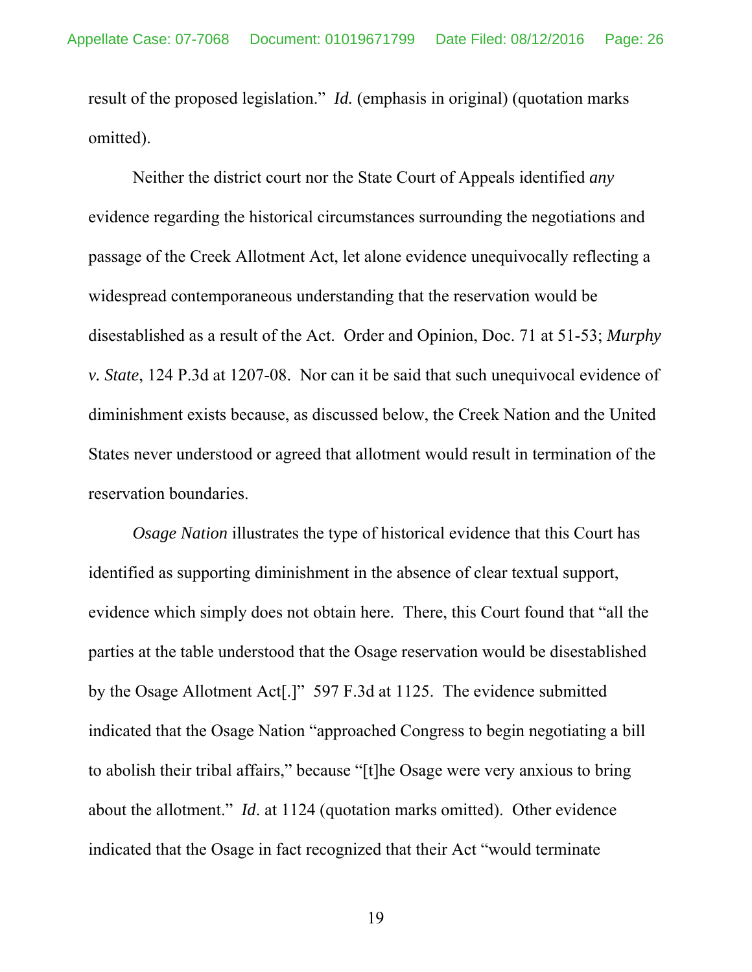result of the proposed legislation." *Id.* (emphasis in original) (quotation marks omitted).

Neither the district court nor the State Court of Appeals identified *any* evidence regarding the historical circumstances surrounding the negotiations and passage of the Creek Allotment Act, let alone evidence unequivocally reflecting a widespread contemporaneous understanding that the reservation would be disestablished as a result of the Act. Order and Opinion, Doc. 71 at 51-53; *Murphy v. State*, 124 P.3d at 1207-08. Nor can it be said that such unequivocal evidence of diminishment exists because, as discussed below, the Creek Nation and the United States never understood or agreed that allotment would result in termination of the reservation boundaries.

*Osage Nation* illustrates the type of historical evidence that this Court has identified as supporting diminishment in the absence of clear textual support, evidence which simply does not obtain here. There, this Court found that "all the parties at the table understood that the Osage reservation would be disestablished by the Osage Allotment Act[.]" 597 F.3d at 1125. The evidence submitted indicated that the Osage Nation "approached Congress to begin negotiating a bill to abolish their tribal affairs," because "[t]he Osage were very anxious to bring about the allotment." *Id*. at 1124 (quotation marks omitted). Other evidence indicated that the Osage in fact recognized that their Act "would terminate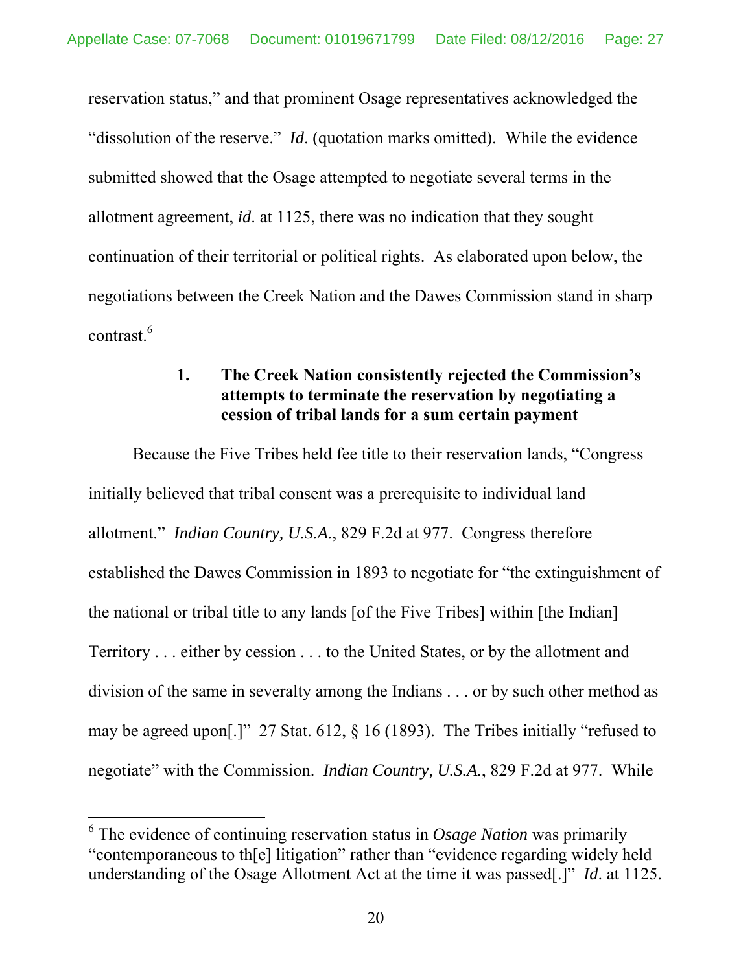reservation status," and that prominent Osage representatives acknowledged the "dissolution of the reserve." *Id*. (quotation marks omitted). While the evidence submitted showed that the Osage attempted to negotiate several terms in the allotment agreement, *id*. at 1125, there was no indication that they sought continuation of their territorial or political rights. As elaborated upon below, the negotiations between the Creek Nation and the Dawes Commission stand in sharp contrast.6

## **1. The Creek Nation consistently rejected the Commission's attempts to terminate the reservation by negotiating a cession of tribal lands for a sum certain payment**

Because the Five Tribes held fee title to their reservation lands, "Congress initially believed that tribal consent was a prerequisite to individual land allotment." *Indian Country, U.S.A.*, 829 F.2d at 977. Congress therefore established the Dawes Commission in 1893 to negotiate for "the extinguishment of the national or tribal title to any lands [of the Five Tribes] within [the Indian] Territory . . . either by cession . . . to the United States, or by the allotment and division of the same in severalty among the Indians . . . or by such other method as may be agreed upon[.]" 27 Stat. 612, § 16 (1893). The Tribes initially "refused to negotiate" with the Commission. *Indian Country, U.S.A.*, 829 F.2d at 977. While

<sup>6</sup> The evidence of continuing reservation status in *Osage Nation* was primarily "contemporaneous to th[e] litigation" rather than "evidence regarding widely held understanding of the Osage Allotment Act at the time it was passed[.]" *Id*. at 1125.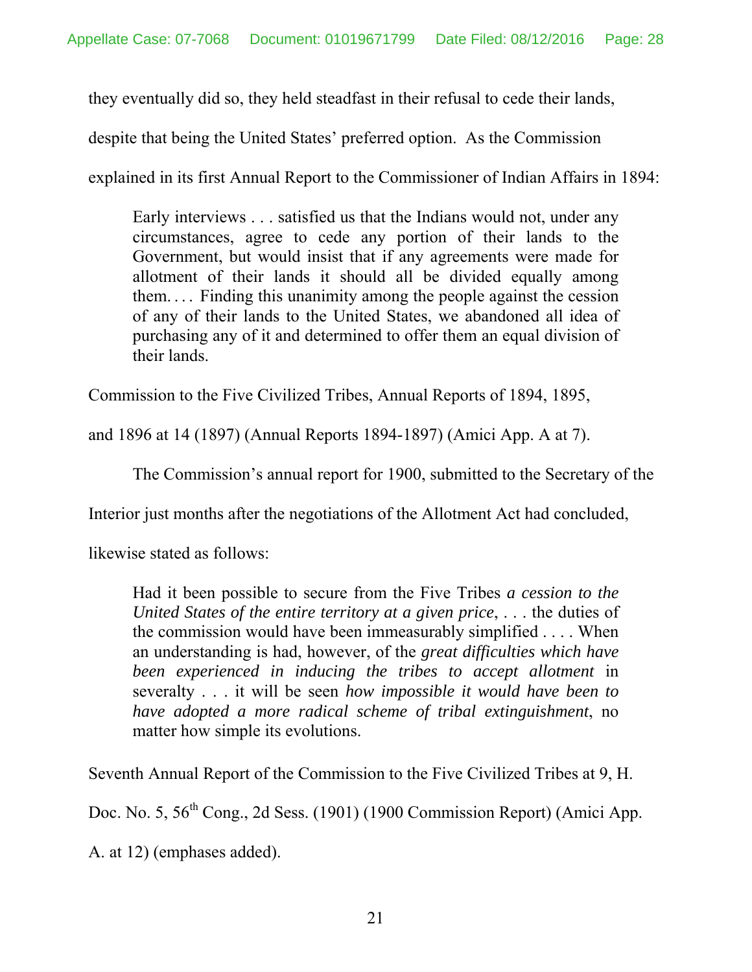they eventually did so, they held steadfast in their refusal to cede their lands,

despite that being the United States' preferred option. As the Commission

explained in its first Annual Report to the Commissioner of Indian Affairs in 1894:

Early interviews . . . satisfied us that the Indians would not, under any circumstances, agree to cede any portion of their lands to the Government, but would insist that if any agreements were made for allotment of their lands it should all be divided equally among them. . . . Finding this unanimity among the people against the cession of any of their lands to the United States, we abandoned all idea of purchasing any of it and determined to offer them an equal division of their lands.

Commission to the Five Civilized Tribes, Annual Reports of 1894, 1895,

and 1896 at 14 (1897) (Annual Reports 1894-1897) (Amici App. A at 7).

The Commission's annual report for 1900, submitted to the Secretary of the

Interior just months after the negotiations of the Allotment Act had concluded,

likewise stated as follows:

Had it been possible to secure from the Five Tribes *a cession to the United States of the entire territory at a given price*, . . . the duties of the commission would have been immeasurably simplified . . . . When an understanding is had, however, of the *great difficulties which have been experienced in inducing the tribes to accept allotment* in severalty . . . it will be seen *how impossible it would have been to have adopted a more radical scheme of tribal extinguishment*, no matter how simple its evolutions.

Seventh Annual Report of the Commission to the Five Civilized Tribes at 9, H.

Doc. No. 5,  $56<sup>th</sup>$  Cong., 2d Sess. (1901) (1900 Commission Report) (Amici App.

A. at 12) (emphases added).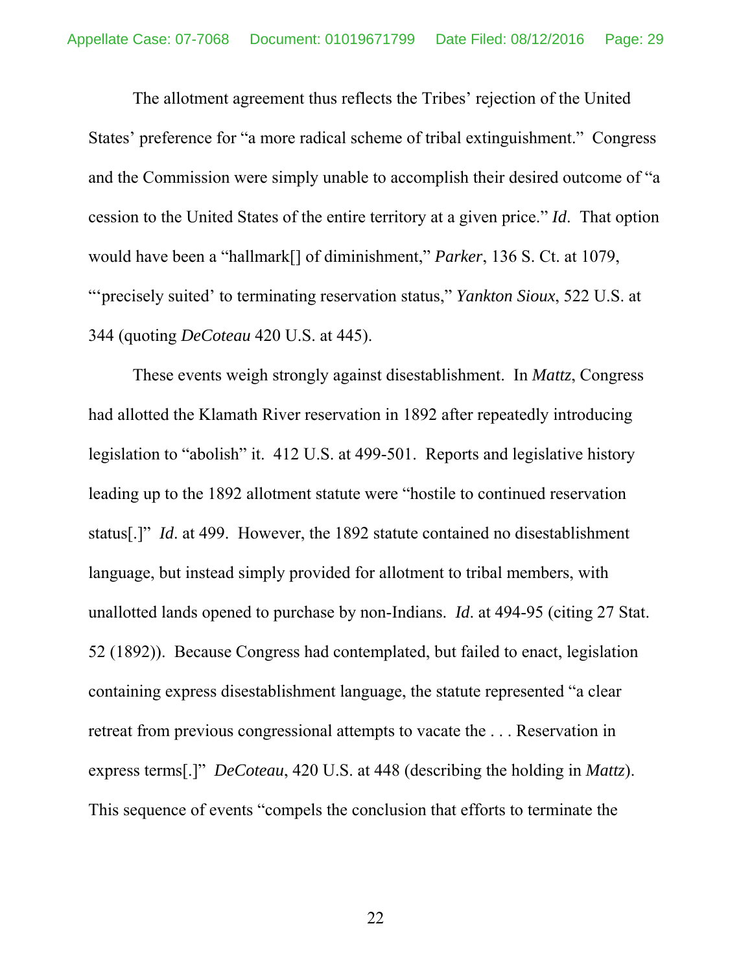The allotment agreement thus reflects the Tribes' rejection of the United States' preference for "a more radical scheme of tribal extinguishment." Congress and the Commission were simply unable to accomplish their desired outcome of "a cession to the United States of the entire territory at a given price." *Id*. That option would have been a "hallmark[] of diminishment," *Parker*, 136 S. Ct. at 1079, "'precisely suited' to terminating reservation status," *Yankton Sioux*, 522 U.S. at 344 (quoting *DeCoteau* 420 U.S. at 445).

These events weigh strongly against disestablishment. In *Mattz*, Congress had allotted the Klamath River reservation in 1892 after repeatedly introducing legislation to "abolish" it. 412 U.S. at 499-501. Reports and legislative history leading up to the 1892 allotment statute were "hostile to continued reservation status[.]" *Id*. at 499. However, the 1892 statute contained no disestablishment language, but instead simply provided for allotment to tribal members, with unallotted lands opened to purchase by non-Indians. *Id*. at 494-95 (citing 27 Stat. 52 (1892)). Because Congress had contemplated, but failed to enact, legislation containing express disestablishment language, the statute represented "a clear retreat from previous congressional attempts to vacate the . . . Reservation in express terms[.]" *DeCoteau*, 420 U.S. at 448 (describing the holding in *Mattz*). This sequence of events "compels the conclusion that efforts to terminate the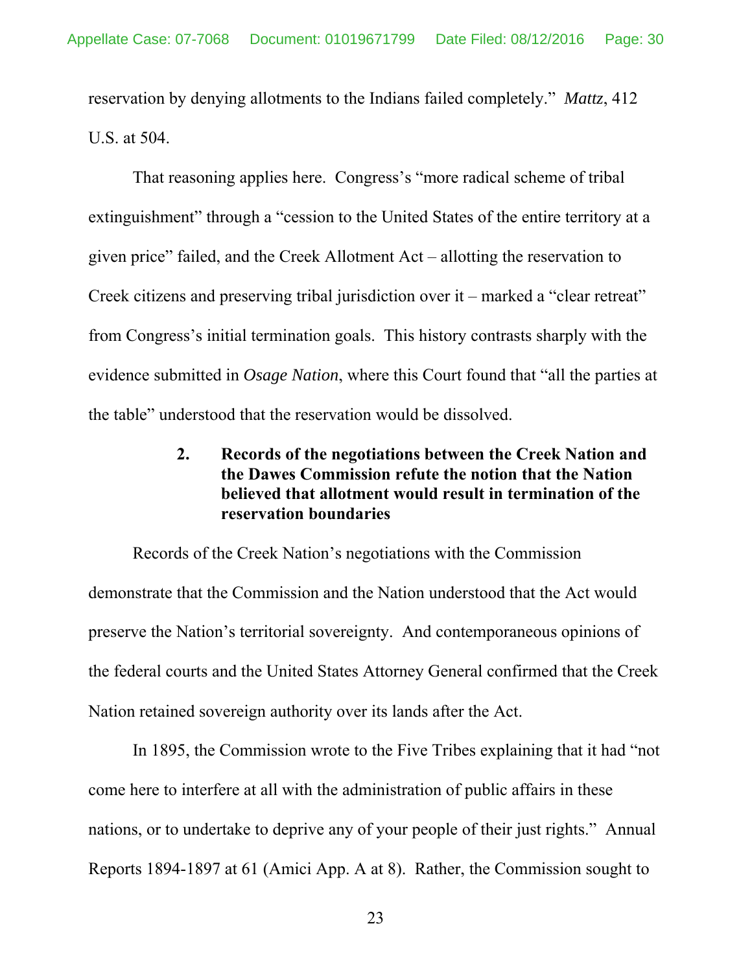reservation by denying allotments to the Indians failed completely." *Mattz*, 412 U.S. at 504.

That reasoning applies here. Congress's "more radical scheme of tribal extinguishment" through a "cession to the United States of the entire territory at a given price" failed, and the Creek Allotment Act – allotting the reservation to Creek citizens and preserving tribal jurisdiction over it – marked a "clear retreat" from Congress's initial termination goals. This history contrasts sharply with the evidence submitted in *Osage Nation*, where this Court found that "all the parties at the table" understood that the reservation would be dissolved.

## **2. Records of the negotiations between the Creek Nation and the Dawes Commission refute the notion that the Nation believed that allotment would result in termination of the reservation boundaries**

Records of the Creek Nation's negotiations with the Commission demonstrate that the Commission and the Nation understood that the Act would preserve the Nation's territorial sovereignty. And contemporaneous opinions of the federal courts and the United States Attorney General confirmed that the Creek Nation retained sovereign authority over its lands after the Act.

In 1895, the Commission wrote to the Five Tribes explaining that it had "not come here to interfere at all with the administration of public affairs in these nations, or to undertake to deprive any of your people of their just rights." Annual Reports 1894-1897 at 61 (Amici App. A at 8). Rather, the Commission sought to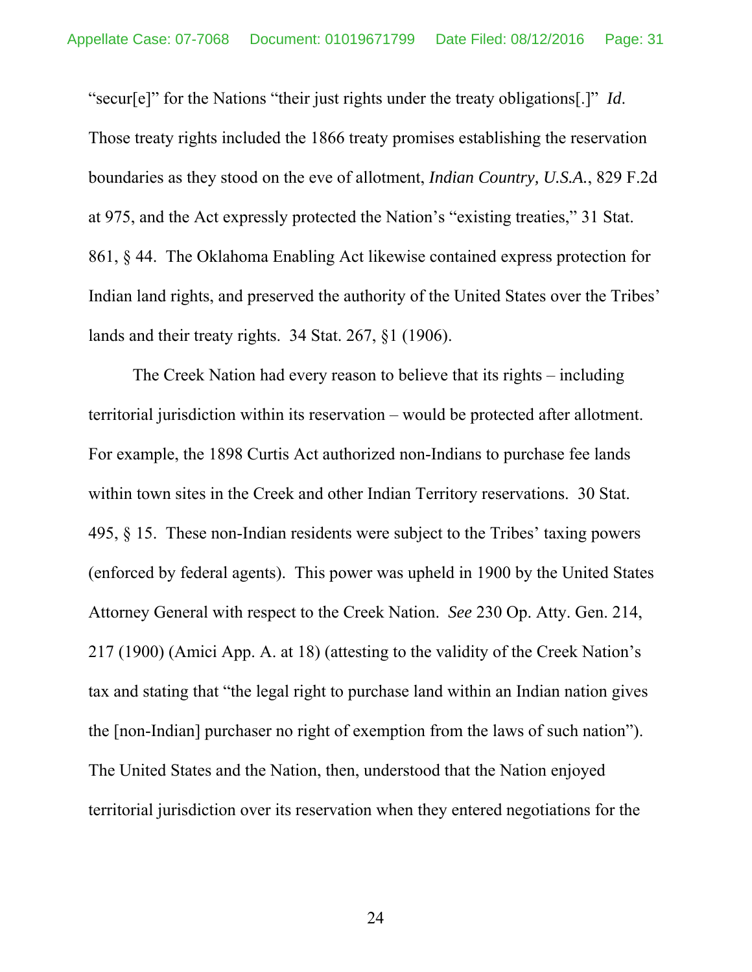"secur[e]" for the Nations "their just rights under the treaty obligations[.]" *Id*. Those treaty rights included the 1866 treaty promises establishing the reservation boundaries as they stood on the eve of allotment, *Indian Country, U.S.A.*, 829 F.2d at 975, and the Act expressly protected the Nation's "existing treaties," 31 Stat. 861, § 44. The Oklahoma Enabling Act likewise contained express protection for Indian land rights, and preserved the authority of the United States over the Tribes' lands and their treaty rights. 34 Stat. 267, §1 (1906).

The Creek Nation had every reason to believe that its rights – including territorial jurisdiction within its reservation – would be protected after allotment. For example, the 1898 Curtis Act authorized non-Indians to purchase fee lands within town sites in the Creek and other Indian Territory reservations. 30 Stat. 495, § 15. These non-Indian residents were subject to the Tribes' taxing powers (enforced by federal agents). This power was upheld in 1900 by the United States Attorney General with respect to the Creek Nation. *See* 230 Op. Atty. Gen. 214, 217 (1900) (Amici App. A. at 18) (attesting to the validity of the Creek Nation's tax and stating that "the legal right to purchase land within an Indian nation gives the [non-Indian] purchaser no right of exemption from the laws of such nation"). The United States and the Nation, then, understood that the Nation enjoyed territorial jurisdiction over its reservation when they entered negotiations for the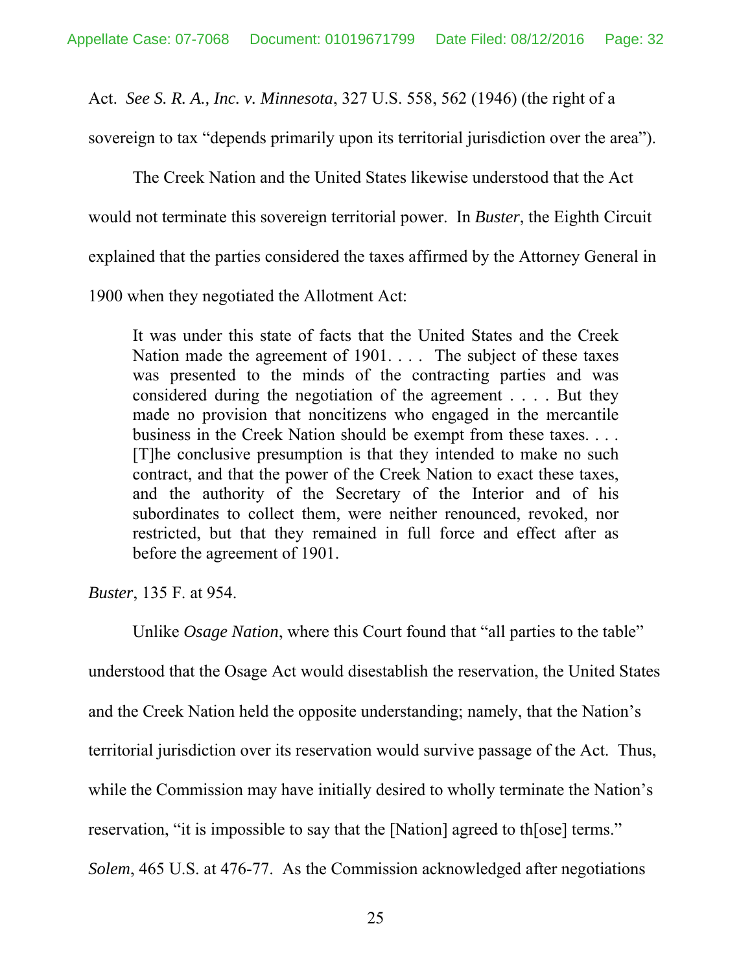Act. *See S. R. A., Inc. v. Minnesota*, 327 U.S. 558, 562 (1946) (the right of a

sovereign to tax "depends primarily upon its territorial jurisdiction over the area").

The Creek Nation and the United States likewise understood that the Act would not terminate this sovereign territorial power. In *Buster*, the Eighth Circuit explained that the parties considered the taxes affirmed by the Attorney General in

1900 when they negotiated the Allotment Act:

It was under this state of facts that the United States and the Creek Nation made the agreement of 1901. . . . The subject of these taxes was presented to the minds of the contracting parties and was considered during the negotiation of the agreement . . . . But they made no provision that noncitizens who engaged in the mercantile business in the Creek Nation should be exempt from these taxes. . . . [T]he conclusive presumption is that they intended to make no such contract, and that the power of the Creek Nation to exact these taxes, and the authority of the Secretary of the Interior and of his subordinates to collect them, were neither renounced, revoked, nor restricted, but that they remained in full force and effect after as before the agreement of 1901.

*Buster*, 135 F. at 954.

Unlike *Osage Nation*, where this Court found that "all parties to the table"

understood that the Osage Act would disestablish the reservation, the United States

and the Creek Nation held the opposite understanding; namely, that the Nation's

territorial jurisdiction over its reservation would survive passage of the Act. Thus,

while the Commission may have initially desired to wholly terminate the Nation's

reservation, "it is impossible to say that the [Nation] agreed to th[ose] terms."

*Solem*, 465 U.S. at 476-77. As the Commission acknowledged after negotiations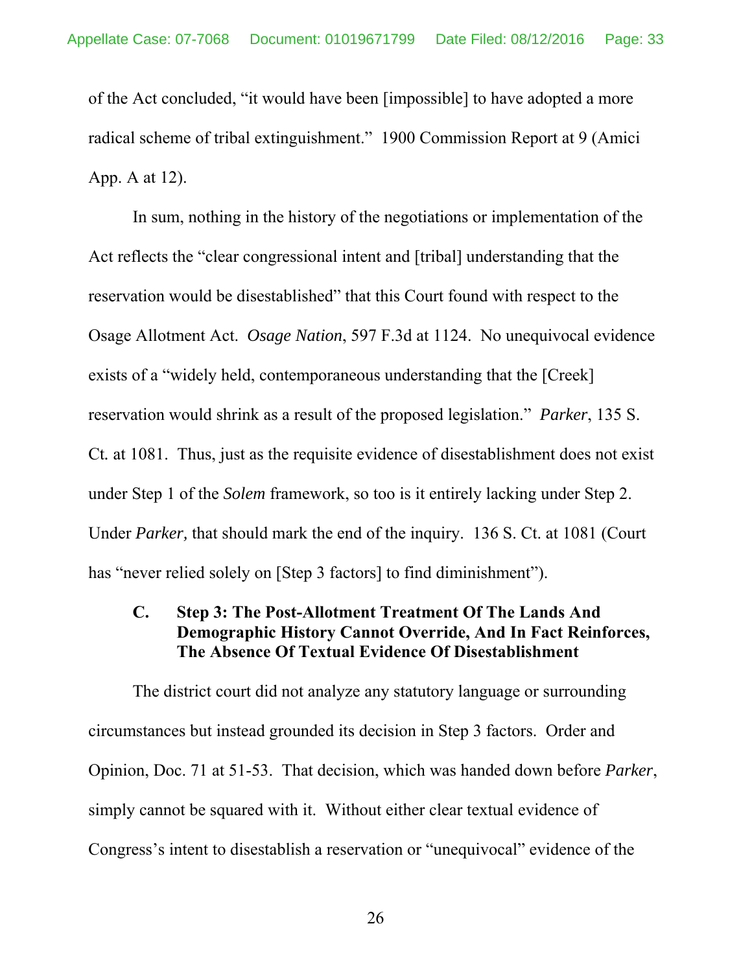of the Act concluded, "it would have been [impossible] to have adopted a more radical scheme of tribal extinguishment." 1900 Commission Report at 9 (Amici App. A at 12).

In sum, nothing in the history of the negotiations or implementation of the Act reflects the "clear congressional intent and [tribal] understanding that the reservation would be disestablished" that this Court found with respect to the Osage Allotment Act. *Osage Nation*, 597 F.3d at 1124. No unequivocal evidence exists of a "widely held, contemporaneous understanding that the [Creek] reservation would shrink as a result of the proposed legislation." *Parker*, 135 S. Ct*.* at 1081. Thus, just as the requisite evidence of disestablishment does not exist under Step 1 of the *Solem* framework, so too is it entirely lacking under Step 2. Under *Parker,* that should mark the end of the inquiry. 136 S. Ct. at 1081 (Court has "never relied solely on [Step 3 factors] to find diminishment").

#### **C. Step 3: The Post-Allotment Treatment Of The Lands And Demographic History Cannot Override, And In Fact Reinforces, The Absence Of Textual Evidence Of Disestablishment**

The district court did not analyze any statutory language or surrounding circumstances but instead grounded its decision in Step 3 factors. Order and Opinion, Doc. 71 at 51-53. That decision, which was handed down before *Parker*, simply cannot be squared with it. Without either clear textual evidence of Congress's intent to disestablish a reservation or "unequivocal" evidence of the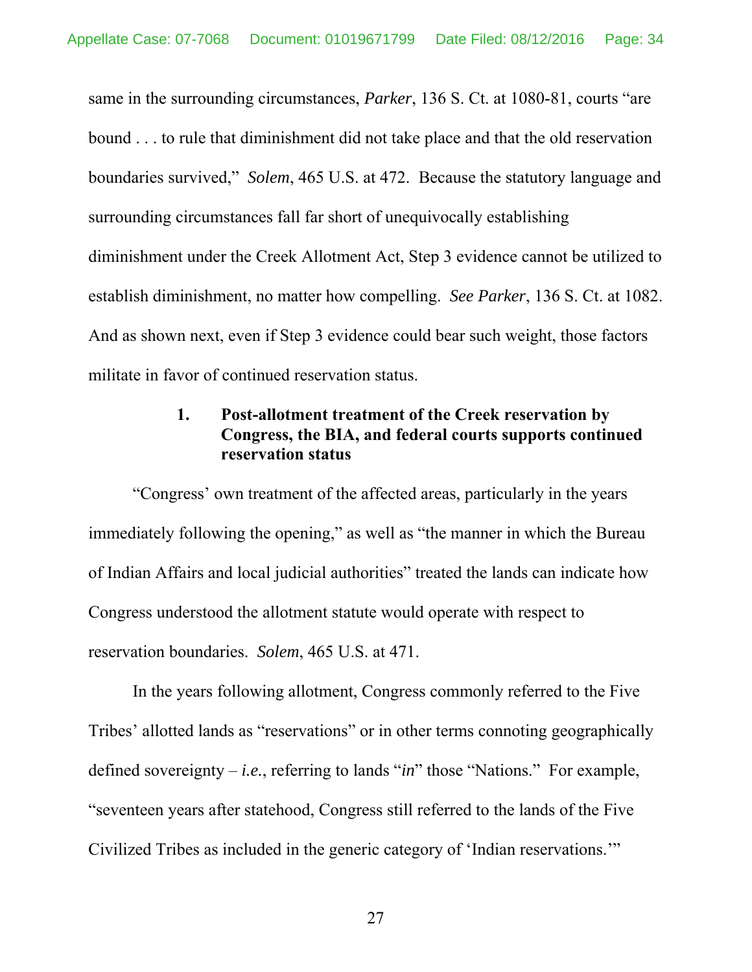same in the surrounding circumstances, *Parker*, 136 S. Ct. at 1080-81, courts "are bound . . . to rule that diminishment did not take place and that the old reservation boundaries survived," *Solem*, 465 U.S. at 472. Because the statutory language and surrounding circumstances fall far short of unequivocally establishing diminishment under the Creek Allotment Act, Step 3 evidence cannot be utilized to establish diminishment, no matter how compelling. *See Parker*, 136 S. Ct. at 1082. And as shown next, even if Step 3 evidence could bear such weight, those factors militate in favor of continued reservation status.

## **1. Post-allotment treatment of the Creek reservation by Congress, the BIA, and federal courts supports continued reservation status**

"Congress' own treatment of the affected areas, particularly in the years immediately following the opening," as well as "the manner in which the Bureau of Indian Affairs and local judicial authorities" treated the lands can indicate how Congress understood the allotment statute would operate with respect to reservation boundaries. *Solem*, 465 U.S. at 471.

In the years following allotment, Congress commonly referred to the Five Tribes' allotted lands as "reservations" or in other terms connoting geographically defined sovereignty – *i.e.*, referring to lands "*in*" those "Nations." For example, "seventeen years after statehood, Congress still referred to the lands of the Five Civilized Tribes as included in the generic category of 'Indian reservations.'"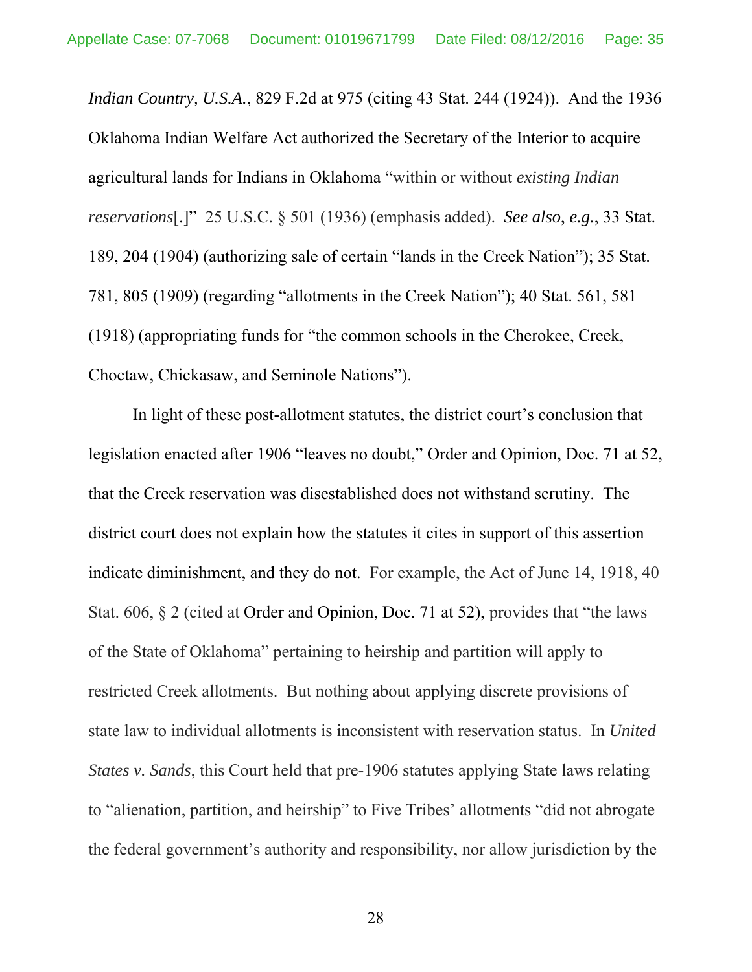*Indian Country, U.S.A.*, 829 F.2d at 975 (citing 43 Stat. 244 (1924)). And the 1936 Oklahoma Indian Welfare Act authorized the Secretary of the Interior to acquire agricultural lands for Indians in Oklahoma "within or without *existing Indian reservations*[.]" 25 U.S.C. § 501 (1936) (emphasis added). *See also*, *e.g.*, 33 Stat. 189, 204 (1904) (authorizing sale of certain "lands in the Creek Nation"); 35 Stat. 781, 805 (1909) (regarding "allotments in the Creek Nation"); 40 Stat. 561, 581 (1918) (appropriating funds for "the common schools in the Cherokee, Creek, Choctaw, Chickasaw, and Seminole Nations").

In light of these post-allotment statutes, the district court's conclusion that legislation enacted after 1906 "leaves no doubt," Order and Opinion, Doc. 71 at 52, that the Creek reservation was disestablished does not withstand scrutiny. The district court does not explain how the statutes it cites in support of this assertion indicate diminishment, and they do not. For example, the Act of June 14, 1918, 40 Stat. 606, § 2 (cited at Order and Opinion, Doc. 71 at 52), provides that "the laws of the State of Oklahoma" pertaining to heirship and partition will apply to restricted Creek allotments. But nothing about applying discrete provisions of state law to individual allotments is inconsistent with reservation status. In *United States v. Sands*, this Court held that pre-1906 statutes applying State laws relating to "alienation, partition, and heirship" to Five Tribes' allotments "did not abrogate the federal government's authority and responsibility, nor allow jurisdiction by the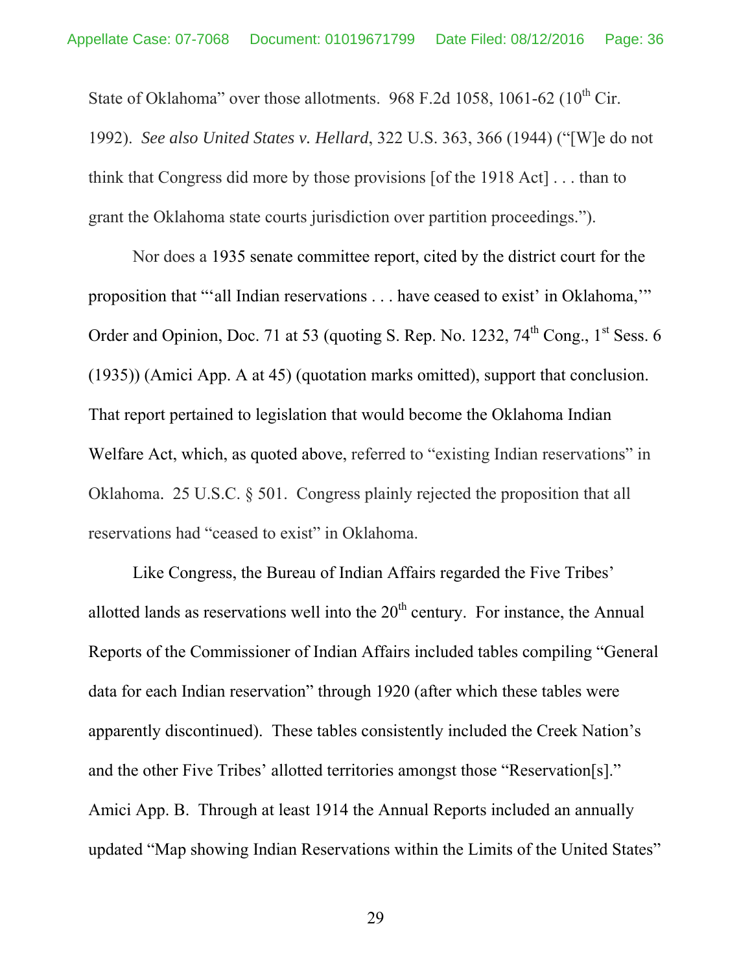State of Oklahoma" over those allotments.  $968$  F.2d 1058, 1061-62 (10<sup>th</sup> Cir.

1992). *See also United States v. Hellard*, 322 U.S. 363, 366 (1944) ("[W]e do not think that Congress did more by those provisions [of the 1918 Act] . . . than to grant the Oklahoma state courts jurisdiction over partition proceedings.").

Nor does a 1935 senate committee report, cited by the district court for the proposition that "'all Indian reservations . . . have ceased to exist' in Oklahoma,'" Order and Opinion, Doc. 71 at 53 (quoting S. Rep. No. 1232,  $74<sup>th</sup>$  Cong.,  $1<sup>st</sup>$  Sess. 6 (1935)) (Amici App. A at 45) (quotation marks omitted), support that conclusion. That report pertained to legislation that would become the Oklahoma Indian Welfare Act, which, as quoted above, referred to "existing Indian reservations" in Oklahoma. 25 U.S.C. § 501. Congress plainly rejected the proposition that all reservations had "ceased to exist" in Oklahoma.

Like Congress, the Bureau of Indian Affairs regarded the Five Tribes' allotted lands as reservations well into the  $20<sup>th</sup>$  century. For instance, the Annual Reports of the Commissioner of Indian Affairs included tables compiling "General data for each Indian reservation" through 1920 (after which these tables were apparently discontinued). These tables consistently included the Creek Nation's and the other Five Tribes' allotted territories amongst those "Reservation[s]." Amici App. B. Through at least 1914 the Annual Reports included an annually updated "Map showing Indian Reservations within the Limits of the United States"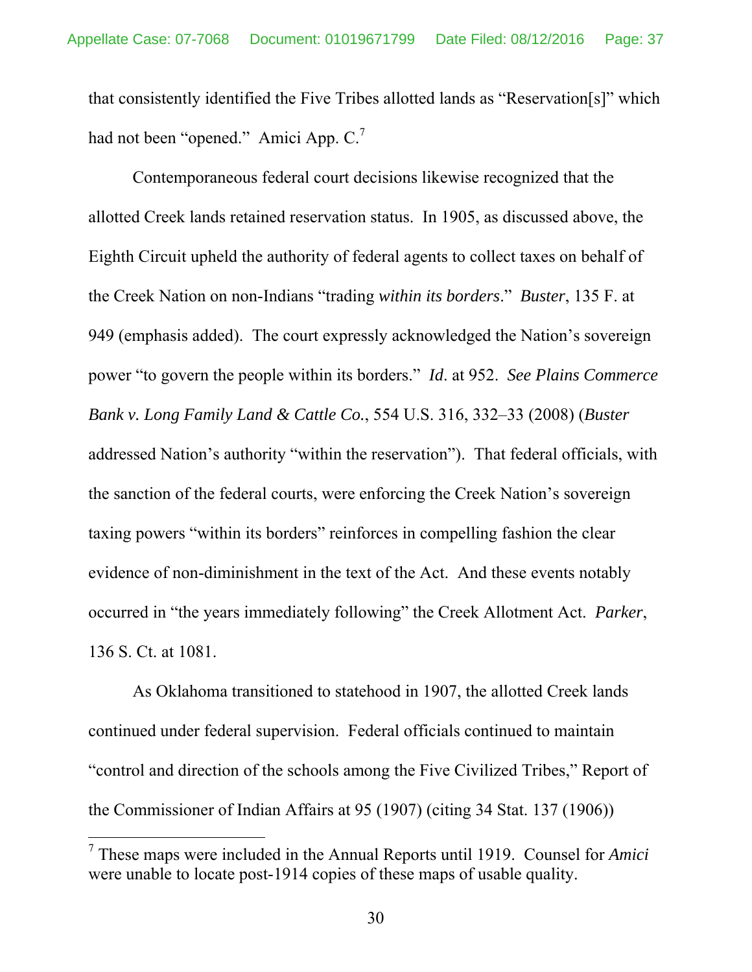that consistently identified the Five Tribes allotted lands as "Reservation[s]" which had not been "opened." Amici App. C.<sup>7</sup>

Contemporaneous federal court decisions likewise recognized that the allotted Creek lands retained reservation status. In 1905, as discussed above, the Eighth Circuit upheld the authority of federal agents to collect taxes on behalf of the Creek Nation on non-Indians "trading *within its borders*." *Buster*, 135 F. at 949 (emphasis added). The court expressly acknowledged the Nation's sovereign power "to govern the people within its borders." *Id*. at 952. *See Plains Commerce Bank v. Long Family Land & Cattle Co.*, 554 U.S. 316, 332–33 (2008) (*Buster*  addressed Nation's authority "within the reservation"). That federal officials, with the sanction of the federal courts, were enforcing the Creek Nation's sovereign taxing powers "within its borders" reinforces in compelling fashion the clear evidence of non-diminishment in the text of the Act. And these events notably occurred in "the years immediately following" the Creek Allotment Act. *Parker*, 136 S. Ct. at 1081.

As Oklahoma transitioned to statehood in 1907, the allotted Creek lands continued under federal supervision. Federal officials continued to maintain "control and direction of the schools among the Five Civilized Tribes," Report of the Commissioner of Indian Affairs at 95 (1907) (citing 34 Stat. 137 (1906))

<sup>7</sup> These maps were included in the Annual Reports until 1919. Counsel for *Amici* were unable to locate post-1914 copies of these maps of usable quality.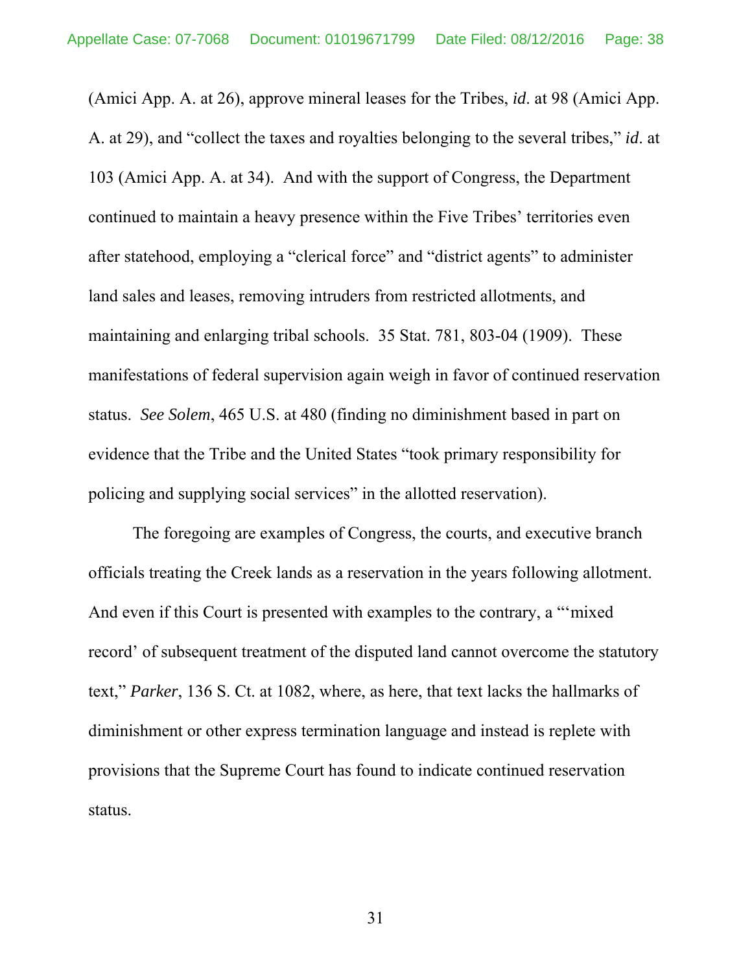(Amici App. A. at 26), approve mineral leases for the Tribes, *id*. at 98 (Amici App. A. at 29), and "collect the taxes and royalties belonging to the several tribes," *id*. at 103 (Amici App. A. at 34). And with the support of Congress, the Department continued to maintain a heavy presence within the Five Tribes' territories even after statehood, employing a "clerical force" and "district agents" to administer land sales and leases, removing intruders from restricted allotments, and maintaining and enlarging tribal schools. 35 Stat. 781, 803-04 (1909). These manifestations of federal supervision again weigh in favor of continued reservation status. *See Solem*, 465 U.S. at 480 (finding no diminishment based in part on evidence that the Tribe and the United States "took primary responsibility for policing and supplying social services" in the allotted reservation).

The foregoing are examples of Congress, the courts, and executive branch officials treating the Creek lands as a reservation in the years following allotment. And even if this Court is presented with examples to the contrary, a "'mixed record' of subsequent treatment of the disputed land cannot overcome the statutory text," *Parker*, 136 S. Ct. at 1082, where, as here, that text lacks the hallmarks of diminishment or other express termination language and instead is replete with provisions that the Supreme Court has found to indicate continued reservation status.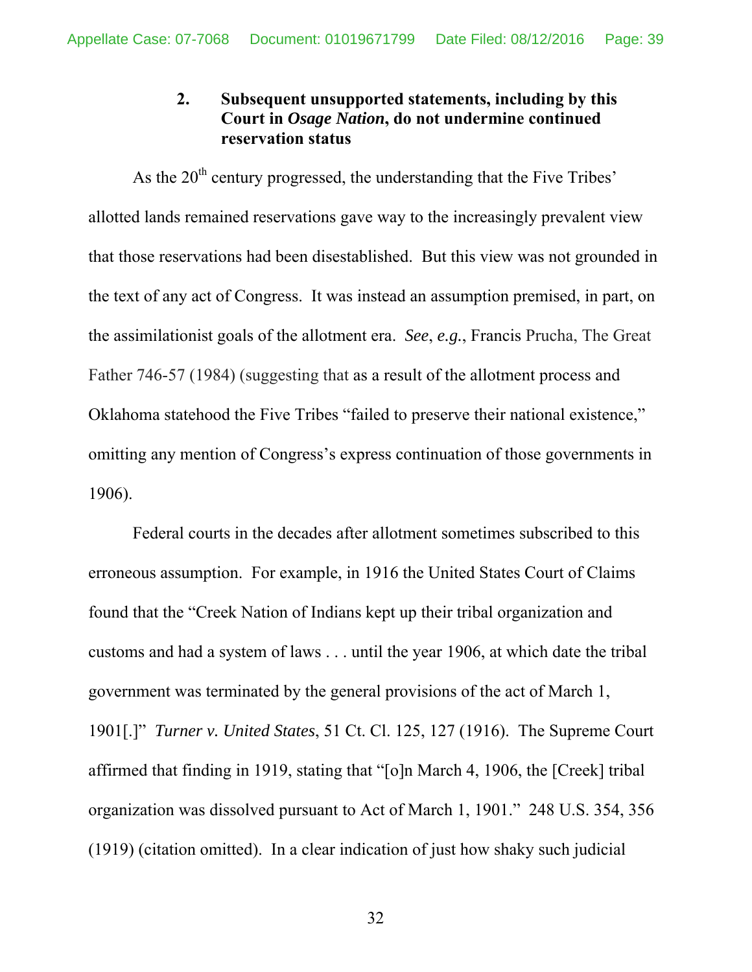## **2. Subsequent unsupported statements, including by this Court in** *Osage Nation***, do not undermine continued reservation status**

As the  $20<sup>th</sup>$  century progressed, the understanding that the Five Tribes' allotted lands remained reservations gave way to the increasingly prevalent view that those reservations had been disestablished. But this view was not grounded in the text of any act of Congress. It was instead an assumption premised, in part, on the assimilationist goals of the allotment era. *See*, *e.g.*, Francis Prucha, The Great Father 746-57 (1984) (suggesting that as a result of the allotment process and Oklahoma statehood the Five Tribes "failed to preserve their national existence," omitting any mention of Congress's express continuation of those governments in 1906).

Federal courts in the decades after allotment sometimes subscribed to this erroneous assumption. For example, in 1916 the United States Court of Claims found that the "Creek Nation of Indians kept up their tribal organization and customs and had a system of laws . . . until the year 1906, at which date the tribal government was terminated by the general provisions of the act of March 1, 1901[.]" *Turner v. United States*, 51 Ct. Cl. 125, 127 (1916). The Supreme Court affirmed that finding in 1919, stating that "[o]n March 4, 1906, the [Creek] tribal organization was dissolved pursuant to Act of March 1, 1901." 248 U.S. 354, 356 (1919) (citation omitted). In a clear indication of just how shaky such judicial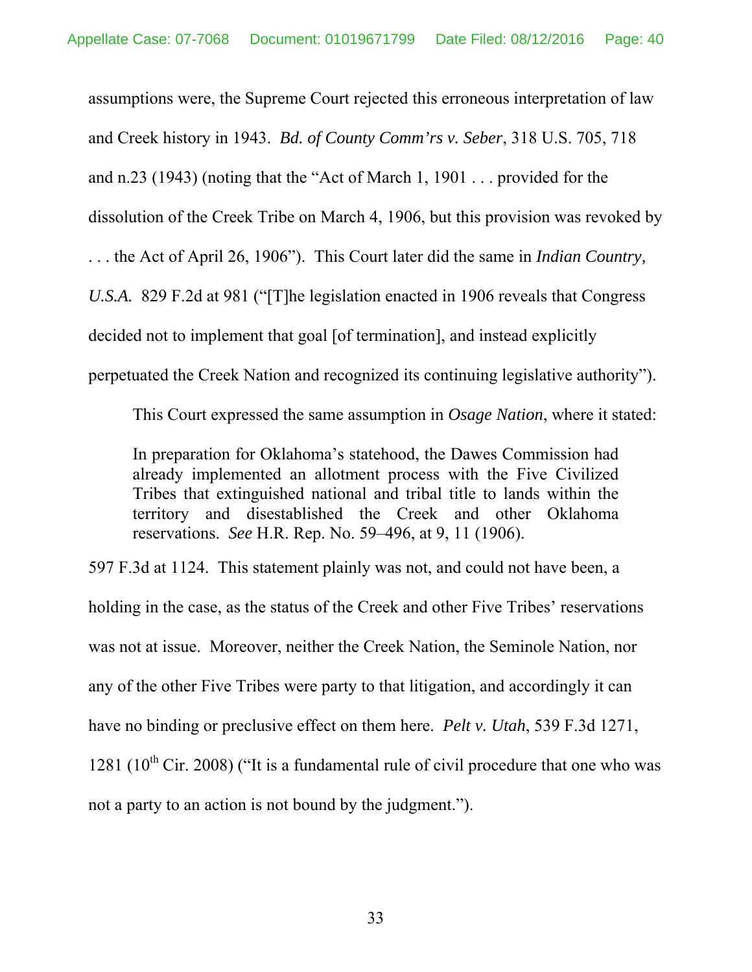assumptions were, the Supreme Court rejected this erroneous interpretation of law and Creek history in 1943. *Bd. of County Comm'rs v. Seber*, 318 U.S. 705, 718 and n.23 (1943) (noting that the "Act of March 1, 1901 . . . provided for the dissolution of the Creek Tribe on March 4, 1906, but this provision was revoked by . . . the Act of April 26, 1906"). This Court later did the same in *Indian Country, U.S.A.*829 F.2d at 981 ("[T]he legislation enacted in 1906 reveals that Congress decided not to implement that goal [of termination], and instead explicitly perpetuated the Creek Nation and recognized its continuing legislative authority").

This Court expressed the same assumption in *Osage Nation*, where it stated:

In preparation for Oklahoma's statehood, the Dawes Commission had already implemented an allotment process with the Five Civilized Tribes that extinguished national and tribal title to lands within the territory and disestablished the Creek and other Oklahoma reservations. *See* H.R. Rep. No. 59–496, at 9, 11 (1906).

597 F.3d at 1124. This statement plainly was not, and could not have been, a holding in the case, as the status of the Creek and other Five Tribes' reservations was not at issue. Moreover, neither the Creek Nation, the Seminole Nation, nor any of the other Five Tribes were party to that litigation, and accordingly it can have no binding or preclusive effect on them here. *Pelt v. Utah*, 539 F.3d 1271, 1281 ( $10^{th}$  Cir. 2008) ("It is a fundamental rule of civil procedure that one who was not a party to an action is not bound by the judgment.").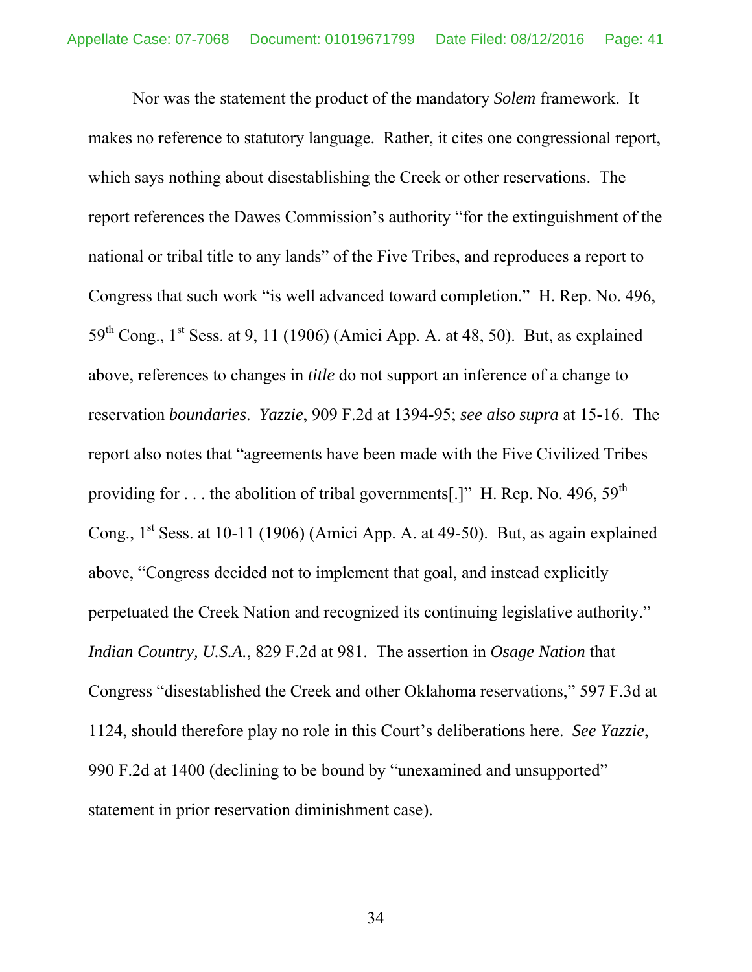Nor was the statement the product of the mandatory *Solem* framework. It makes no reference to statutory language. Rather, it cites one congressional report, which says nothing about disestablishing the Creek or other reservations. The report references the Dawes Commission's authority "for the extinguishment of the national or tribal title to any lands" of the Five Tribes, and reproduces a report to Congress that such work "is well advanced toward completion." H. Rep. No. 496,  $59<sup>th</sup>$  Cong., 1<sup>st</sup> Sess. at 9, 11 (1906) (Amici App. A. at 48, 50). But, as explained above, references to changes in *title* do not support an inference of a change to reservation *boundaries*. *Yazzie*, 909 F.2d at 1394-95; *see also supra* at 15-16. The report also notes that "agreements have been made with the Five Civilized Tribes providing for ... the abolition of tribal governments[.]" H. Rep. No. 496,  $59<sup>th</sup>$ Cong.,  $1<sup>st</sup>$  Sess. at 10-11 (1906) (Amici App. A. at 49-50). But, as again explained above, "Congress decided not to implement that goal, and instead explicitly perpetuated the Creek Nation and recognized its continuing legislative authority." *Indian Country, U.S.A.*, 829 F.2d at 981. The assertion in *Osage Nation* that Congress "disestablished the Creek and other Oklahoma reservations," 597 F.3d at 1124, should therefore play no role in this Court's deliberations here. *See Yazzie*, 990 F.2d at 1400 (declining to be bound by "unexamined and unsupported" statement in prior reservation diminishment case).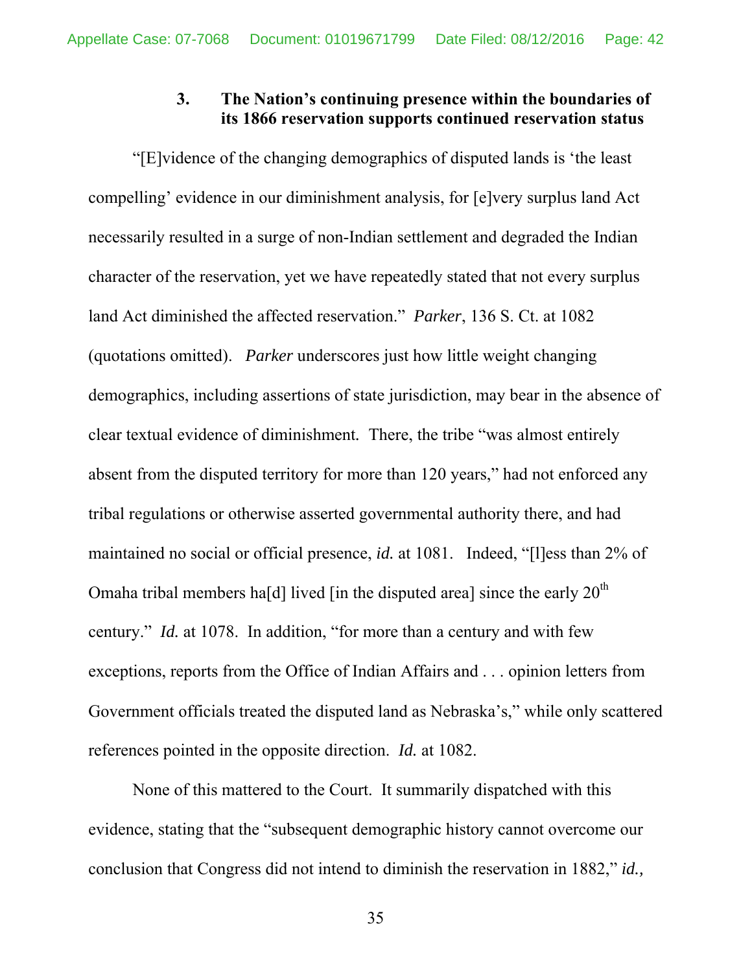### **3. The Nation's continuing presence within the boundaries of its 1866 reservation supports continued reservation status**

"[E]vidence of the changing demographics of disputed lands is 'the least compelling' evidence in our diminishment analysis, for [e]very surplus land Act necessarily resulted in a surge of non-Indian settlement and degraded the Indian character of the reservation, yet we have repeatedly stated that not every surplus land Act diminished the affected reservation." *Parker*, 136 S. Ct. at 1082 (quotations omitted). *Parker* underscores just how little weight changing demographics, including assertions of state jurisdiction, may bear in the absence of clear textual evidence of diminishment*.* There, the tribe "was almost entirely absent from the disputed territory for more than 120 years," had not enforced any tribal regulations or otherwise asserted governmental authority there, and had maintained no social or official presence, *id.* at 1081.Indeed, "[l]ess than 2% of Omaha tribal members ha[d] lived [in the disputed area] since the early  $20<sup>th</sup>$ century." *Id.* at 1078. In addition, "for more than a century and with few exceptions, reports from the Office of Indian Affairs and . . . opinion letters from Government officials treated the disputed land as Nebraska's," while only scattered references pointed in the opposite direction. *Id.* at 1082.

None of this mattered to the Court. It summarily dispatched with this evidence, stating that the "subsequent demographic history cannot overcome our conclusion that Congress did not intend to diminish the reservation in 1882," *id.,*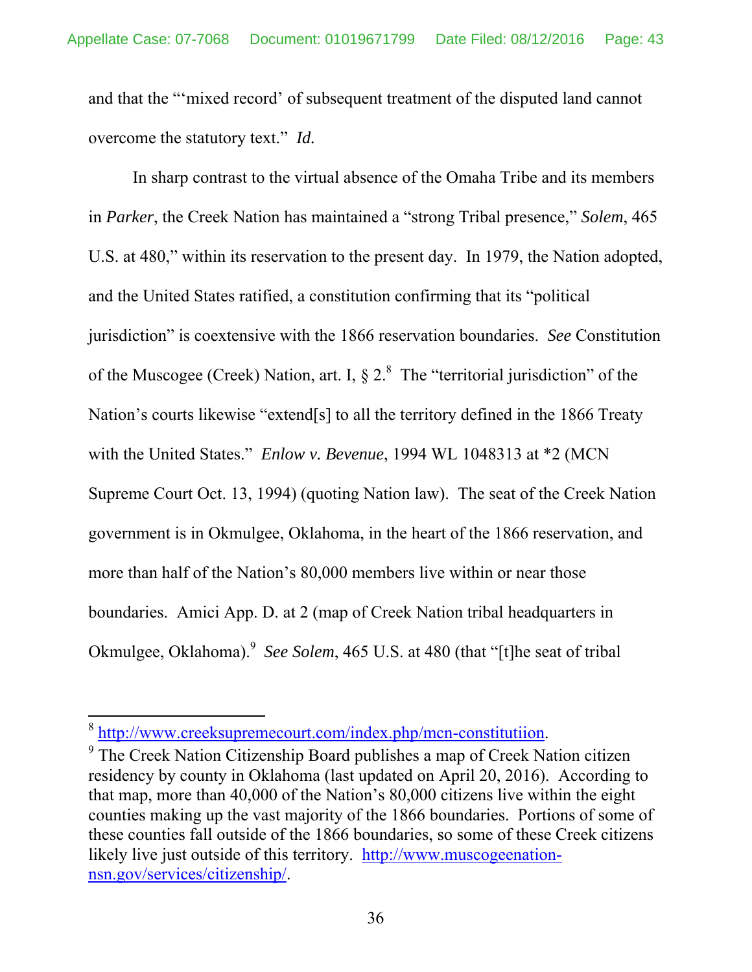and that the "'mixed record' of subsequent treatment of the disputed land cannot overcome the statutory text." *Id.*

In sharp contrast to the virtual absence of the Omaha Tribe and its members in *Parker*, the Creek Nation has maintained a "strong Tribal presence," *Solem*, 465 U.S. at 480," within its reservation to the present day. In 1979, the Nation adopted, and the United States ratified, a constitution confirming that its "political jurisdiction" is coextensive with the 1866 reservation boundaries. *See* Constitution of the Muscogee (Creek) Nation, art. I,  $\S 2$ .<sup>8</sup> The "territorial jurisdiction" of the Nation's courts likewise "extend[s] to all the territory defined in the 1866 Treaty with the United States." *Enlow v. Bevenue*, 1994 WL 1048313 at \*2 (MCN Supreme Court Oct. 13, 1994) (quoting Nation law). The seat of the Creek Nation government is in Okmulgee, Oklahoma, in the heart of the 1866 reservation, and more than half of the Nation's 80,000 members live within or near those boundaries. Amici App. D. at 2 (map of Creek Nation tribal headquarters in Okmulgee, Oklahoma).<sup>9</sup> See Solem, 465 U.S. at 480 (that "[t]he seat of tribal

 $\frac{8 \text{ http://www.creeksupremecourt.com/index.php/mcn-constitution}}{8 \text{ The Create Nation Cittzonehip Pozed published on men of Great No.}$ 

<sup>&</sup>lt;sup>9</sup> The Creek Nation Citizenship Board publishes a map of Creek Nation citizen residency by county in Oklahoma (last updated on April 20, 2016). According to that map, more than 40,000 of the Nation's 80,000 citizens live within the eight counties making up the vast majority of the 1866 boundaries. Portions of some of these counties fall outside of the 1866 boundaries, so some of these Creek citizens likely live just outside of this territory. http://www.muscogeenationnsn.gov/services/citizenship/.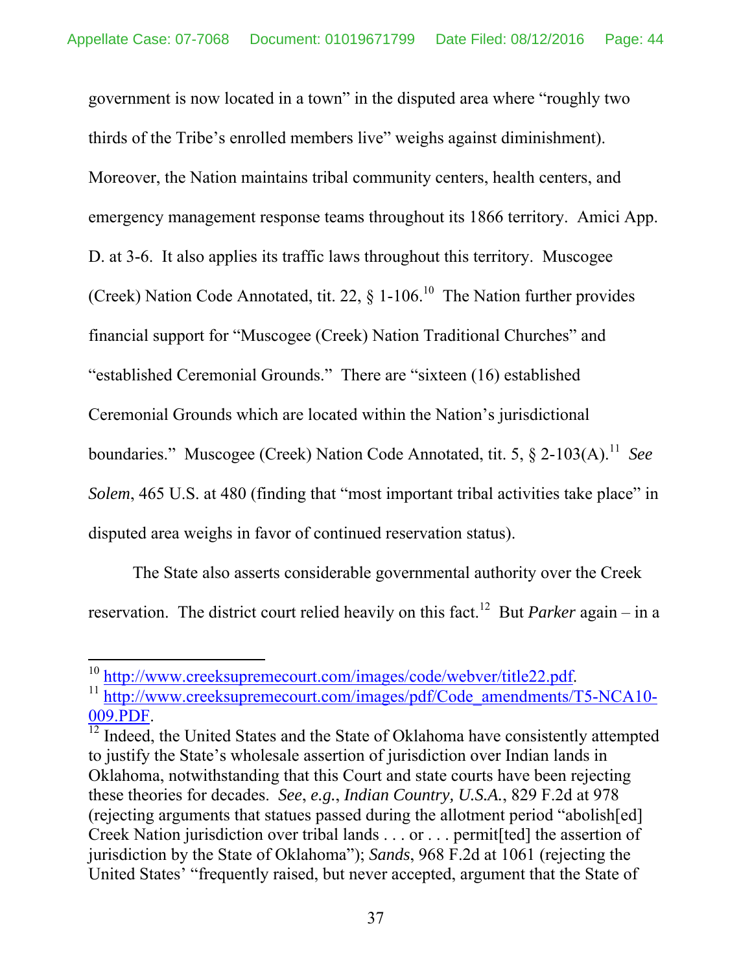government is now located in a town" in the disputed area where "roughly two thirds of the Tribe's enrolled members live" weighs against diminishment). Moreover, the Nation maintains tribal community centers, health centers, and emergency management response teams throughout its 1866 territory. Amici App. D. at 3-6. It also applies its traffic laws throughout this territory. Muscogee (Creek) Nation Code Annotated, tit. 22,  $\S$  1-106.<sup>10</sup> The Nation further provides financial support for "Muscogee (Creek) Nation Traditional Churches" and "established Ceremonial Grounds." There are "sixteen (16) established Ceremonial Grounds which are located within the Nation's jurisdictional boundaries." Muscogee (Creek) Nation Code Annotated, tit. 5, § 2-103(A).<sup>11</sup> See *Solem*, 465 U.S. at 480 (finding that "most important tribal activities take place" in disputed area weighs in favor of continued reservation status).

The State also asserts considerable governmental authority over the Creek reservation. The district court relied heavily on this fact.<sup>12</sup> But *Parker* again – in a

 $\frac{12}{12}$  Indeed, the United States and the State of Oklahoma have consistently attempted to justify the State's wholesale assertion of jurisdiction over Indian lands in Oklahoma, notwithstanding that this Court and state courts have been rejecting these theories for decades. *See*, *e.g.*, *Indian Country, U.S.A.*, 829 F.2d at 978 (rejecting arguments that statues passed during the allotment period "abolish[ed] Creek Nation jurisdiction over tribal lands . . . or . . . permit[ted] the assertion of jurisdiction by the State of Oklahoma"); *Sands*, 968 F.2d at 1061 (rejecting the United States' "frequently raised, but never accepted, argument that the State of

<sup>&</sup>lt;sup>10</sup> http://www.creeksupremecourt.com/images/code/webver/title22.pdf.

<sup>&</sup>lt;sup>11</sup> http://www.creeksupremecourt.com/images/pdf/Code\_amendments/T5-NCA10-009.PDF.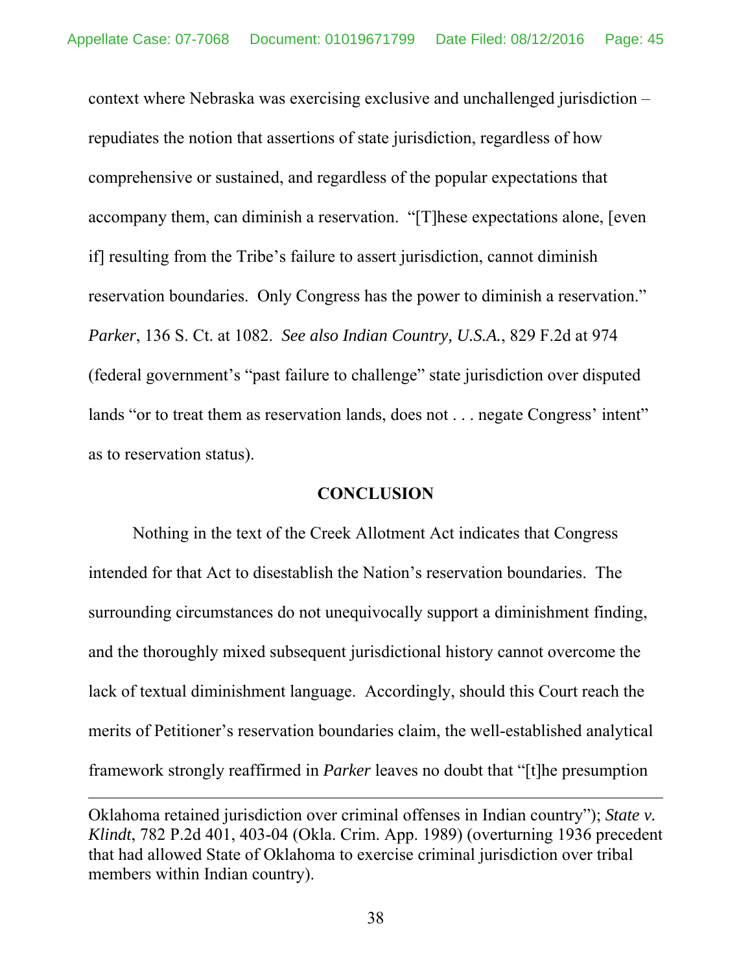context where Nebraska was exercising exclusive and unchallenged jurisdiction – repudiates the notion that assertions of state jurisdiction, regardless of how comprehensive or sustained, and regardless of the popular expectations that accompany them, can diminish a reservation. "[T]hese expectations alone, [even if] resulting from the Tribe's failure to assert jurisdiction, cannot diminish reservation boundaries. Only Congress has the power to diminish a reservation." *Parker*, 136 S. Ct. at 1082. *See also Indian Country, U.S.A.*, 829 F.2d at 974 (federal government's "past failure to challenge" state jurisdiction over disputed lands "or to treat them as reservation lands, does not . . . negate Congress' intent" as to reservation status).

#### **CONCLUSION**

 Nothing in the text of the Creek Allotment Act indicates that Congress intended for that Act to disestablish the Nation's reservation boundaries. The surrounding circumstances do not unequivocally support a diminishment finding, and the thoroughly mixed subsequent jurisdictional history cannot overcome the lack of textual diminishment language. Accordingly, should this Court reach the merits of Petitioner's reservation boundaries claim, the well-established analytical framework strongly reaffirmed in *Parker* leaves no doubt that "[t]he presumption

<u> 1989 - Johann Stein, marwolaethau a gweledydd a ganlad y ganlad y ganlad y ganlad y ganlad y ganlad y ganlad</u>

Oklahoma retained jurisdiction over criminal offenses in Indian country"); *State v. Klindt*, 782 P.2d 401, 403-04 (Okla. Crim. App. 1989) (overturning 1936 precedent that had allowed State of Oklahoma to exercise criminal jurisdiction over tribal members within Indian country).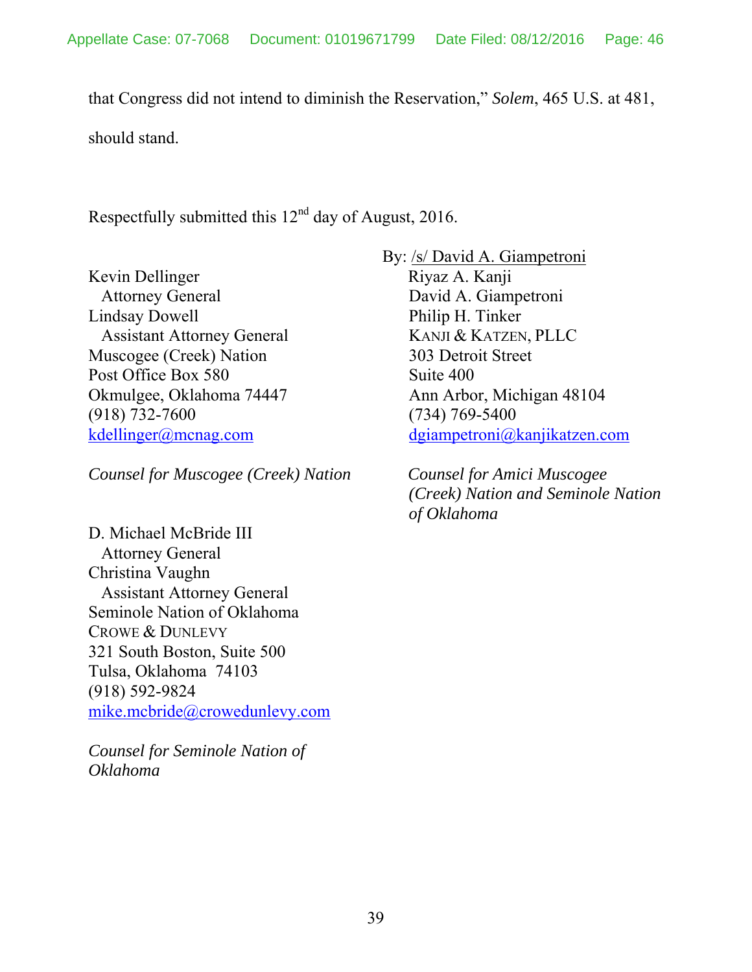that Congress did not intend to diminish the Reservation," *Solem*, 465 U.S. at 481, should stand.

Respectfully submitted this  $12<sup>nd</sup>$  day of August, 2016.

Kevin Dellinger Attorney General Lindsay Dowell Assistant Attorney General Muscogee (Creek) Nation Post Office Box 580 Okmulgee, Oklahoma 74447 (918) 732-7600 kdellinger@mcnag.com

*Counsel for Muscogee (Creek) Nation*

D. Michael McBride III Attorney General Christina Vaughn Assistant Attorney General Seminole Nation of Oklahoma CROWE & DUNLEVY 321 South Boston, Suite 500 Tulsa, Oklahoma 74103 (918) 592-9824 mike.mcbride@crowedunlevy.com

*Counsel for Seminole Nation of Oklahoma* 

By: /s/ David A. Giampetroni

 Riyaz A. Kanji David A. Giampetroni Philip H. Tinker KANJI & KATZEN, PLLC 303 Detroit Street Suite 400 Ann Arbor, Michigan 48104 (734) 769-5400 dgiampetroni@kanjikatzen.com

 *Counsel for Amici Muscogee (Creek) Nation and Seminole Nation of Oklahoma*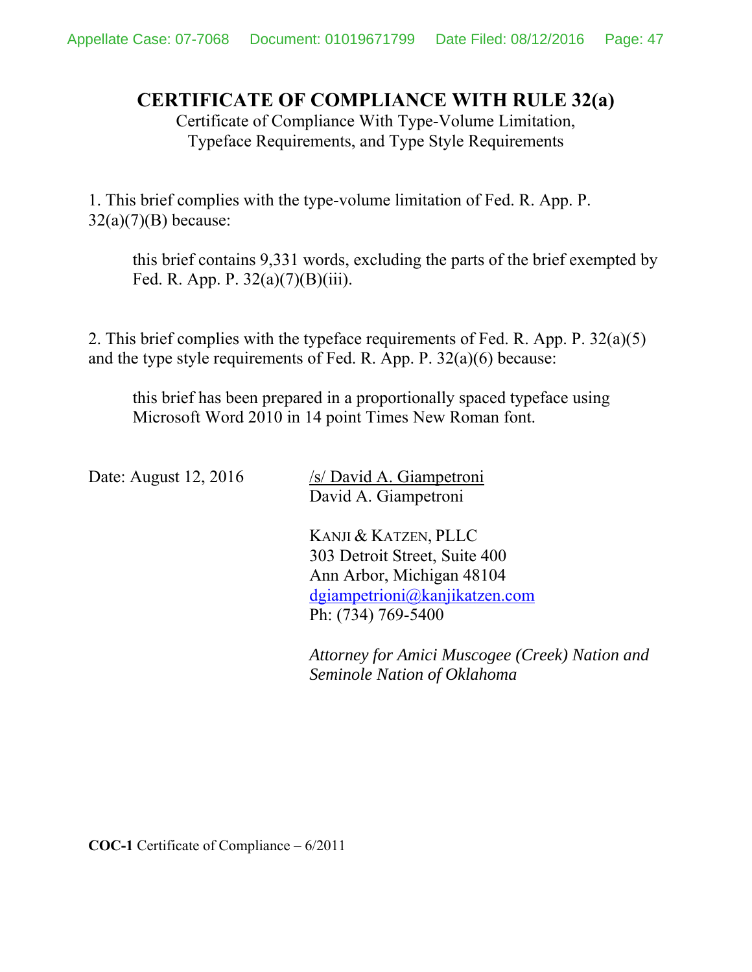# **CERTIFICATE OF COMPLIANCE WITH RULE 32(a)**

Certificate of Compliance With Type-Volume Limitation, Typeface Requirements, and Type Style Requirements

1. This brief complies with the type-volume limitation of Fed. R. App. P.  $32(a)(7)(B)$  because:

this brief contains 9,331 words, excluding the parts of the brief exempted by Fed. R. App. P. 32(a)(7)(B)(iii).

2. This brief complies with the typeface requirements of Fed. R. App. P. 32(a)(5) and the type style requirements of Fed. R. App. P. 32(a)(6) because:

this brief has been prepared in a proportionally spaced typeface using Microsoft Word 2010 in 14 point Times New Roman font.

Date: August 12, 2016 /s/ David A. Giampetroni David A. Giampetroni

> KANJI & KATZEN, PLLC 303 Detroit Street, Suite 400 Ann Arbor, Michigan 48104 dgiampetrioni@kanjikatzen.com Ph: (734) 769-5400

*Attorney for Amici Muscogee (Creek) Nation and Seminole Nation of Oklahoma*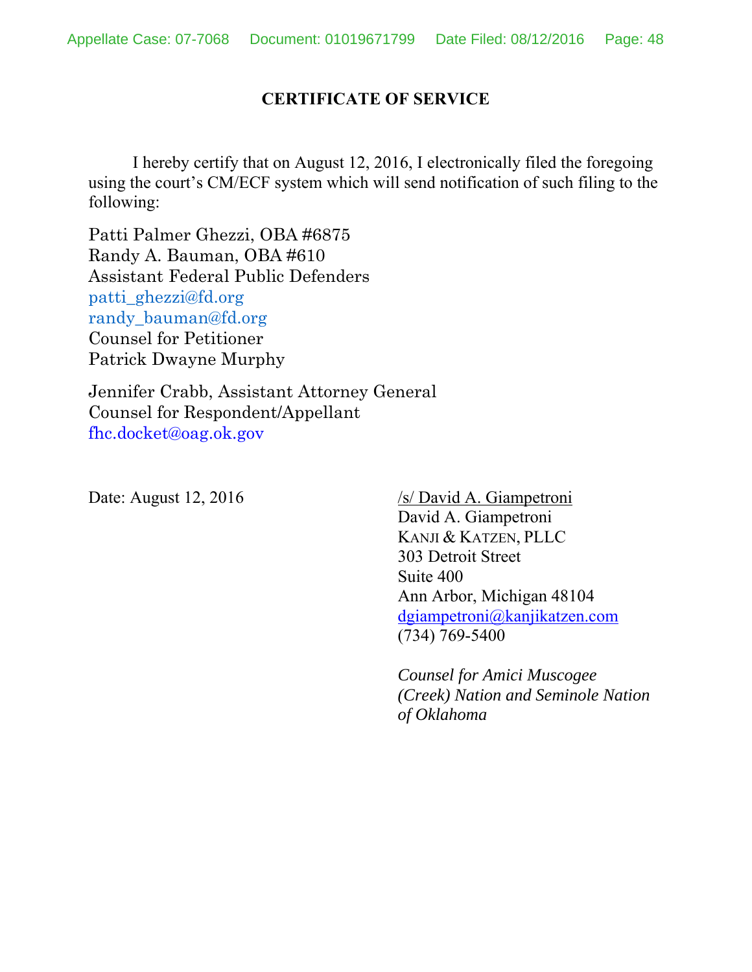#### **CERTIFICATE OF SERVICE**

 I hereby certify that on August 12, 2016, I electronically filed the foregoing using the court's CM/ECF system which will send notification of such filing to the following:

Patti Palmer Ghezzi, OBA #6875 Randy A. Bauman, OBA #610 Assistant Federal Public Defenders patti\_ghezzi@fd.org randy\_bauman@fd.org Counsel for Petitioner Patrick Dwayne Murphy

Jennifer Crabb, Assistant Attorney General Counsel for Respondent/Appellant fhc.docket@oag.ok.gov

Date: August 12, 2016 /s/ David A. Giampetroni David A. Giampetroni KANJI & KATZEN, PLLC 303 Detroit Street Suite 400 Ann Arbor, Michigan 48104 dgiampetroni@kanjikatzen.com (734) 769-5400

> *Counsel for Amici Muscogee (Creek) Nation and Seminole Nation of Oklahoma*